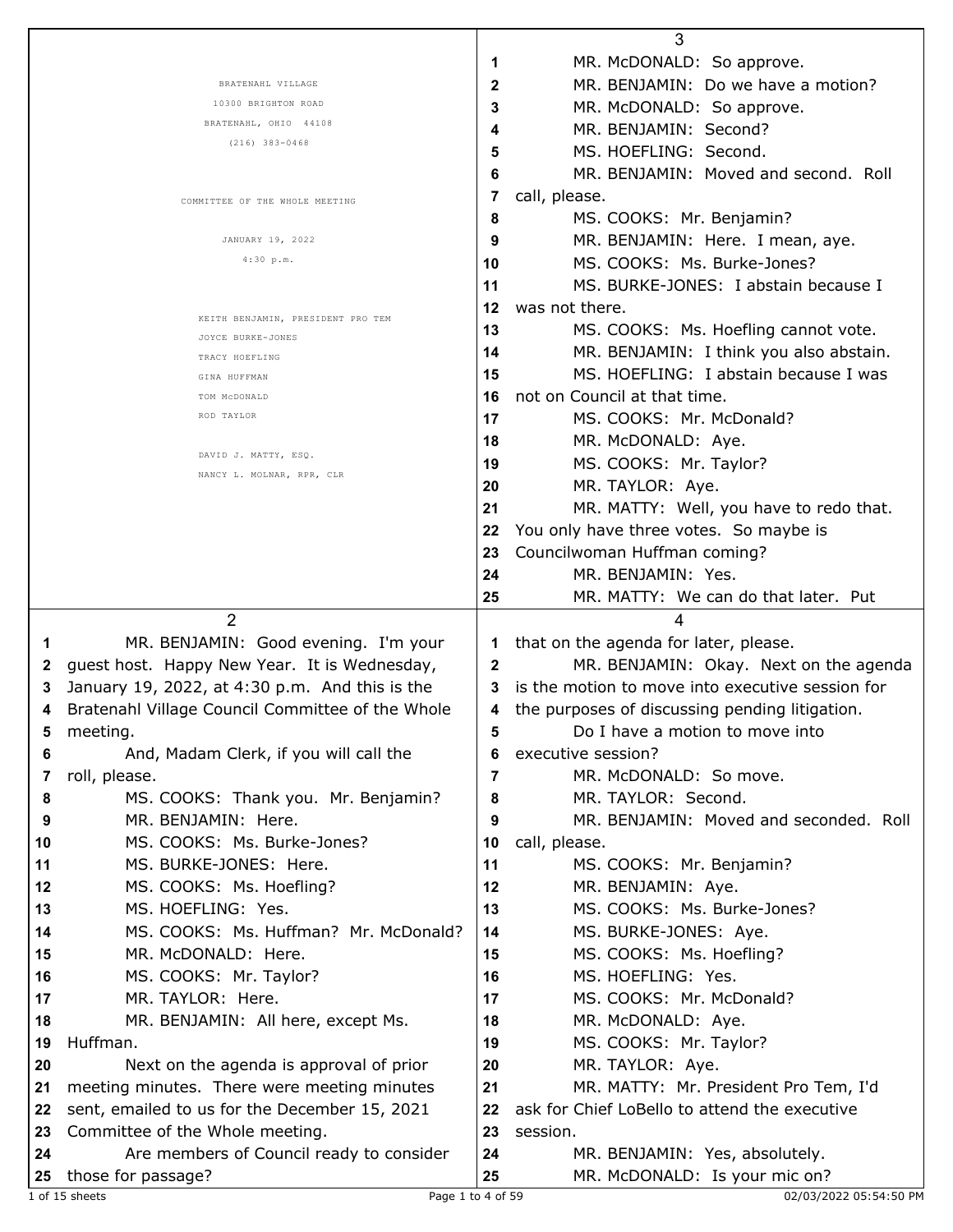|    |                                                                                      |              | 3                                                                               |
|----|--------------------------------------------------------------------------------------|--------------|---------------------------------------------------------------------------------|
|    |                                                                                      | 1            | MR. McDONALD: So approve.                                                       |
|    | BRATENAHL VILLAGE                                                                    | 2            | MR. BENJAMIN: Do we have a motion?                                              |
|    | 10300 BRIGHTON ROAD                                                                  | 3            | MR. McDONALD: So approve.                                                       |
|    | BRATENAHL, OHIO 44108                                                                | 4            | MR. BENJAMIN: Second?                                                           |
|    | $(216)$ 383-0468                                                                     | 5            | MS. HOEFLING: Second.                                                           |
|    |                                                                                      | 6            | MR. BENJAMIN: Moved and second. Roll                                            |
|    |                                                                                      | 7            | call, please.                                                                   |
|    | COMMITTEE OF THE WHOLE MEETING                                                       | 8            | MS. COOKS: Mr. Benjamin?                                                        |
|    | JANUARY 19, 2022                                                                     | 9            | MR. BENJAMIN: Here. I mean, aye.                                                |
|    | 4:30 p.m.                                                                            | 10           | MS. COOKS: Ms. Burke-Jones?                                                     |
|    |                                                                                      |              |                                                                                 |
|    |                                                                                      | 11           | MS. BURKE-JONES: I abstain because I                                            |
|    | KEITH BENJAMIN, PRESIDENT PRO TEM                                                    | 12           | was not there.                                                                  |
|    | JOYCE BURKE-JONES                                                                    | 13           | MS. COOKS: Ms. Hoefling cannot vote.                                            |
|    | TRACY HOEFLING                                                                       | 14           | MR. BENJAMIN: I think you also abstain.                                         |
|    | GINA HUFFMAN                                                                         | 15           | MS. HOEFLING: I abstain because I was                                           |
|    | TOM MCDONALD                                                                         | 16           | not on Council at that time.                                                    |
|    | ROD TAYLOR                                                                           | 17           | MS. COOKS: Mr. McDonald?                                                        |
|    |                                                                                      | 18           | MR. McDONALD: Aye.                                                              |
|    | DAVID J. MATTY, ESQ.                                                                 | 19           | MS. COOKS: Mr. Taylor?                                                          |
|    | NANCY L. MOLNAR, RPR, CLR                                                            | 20           | MR. TAYLOR: Aye.                                                                |
|    |                                                                                      | 21           | MR. MATTY: Well, you have to redo that.                                         |
|    |                                                                                      | 22           | You only have three votes. So maybe is                                          |
|    |                                                                                      | 23           | Councilwoman Huffman coming?                                                    |
|    |                                                                                      | 24           | MR. BENJAMIN: Yes.                                                              |
|    |                                                                                      | 25           | MR. MATTY: We can do that later. Put                                            |
|    |                                                                                      |              |                                                                                 |
|    | 2                                                                                    |              | 4                                                                               |
| 1  |                                                                                      | 1            |                                                                                 |
| 2  | MR. BENJAMIN: Good evening. I'm your<br>guest host. Happy New Year. It is Wednesday, | $\mathbf{2}$ | that on the agenda for later, please.<br>MR. BENJAMIN: Okay. Next on the agenda |
| 3  |                                                                                      | 3            |                                                                                 |
|    | January 19, 2022, at 4:30 p.m. And this is the                                       | 4            | is the motion to move into executive session for                                |
| 4  | Bratenahl Village Council Committee of the Whole                                     |              | the purposes of discussing pending litigation.                                  |
| 5  | meeting.                                                                             | 5            | Do I have a motion to move into                                                 |
| 6  | And, Madam Clerk, if you will call the                                               | 6            | executive session?                                                              |
| 7  | roll, please.                                                                        | 7            | MR. McDONALD: So move.                                                          |
| 8  | MS. COOKS: Thank you. Mr. Benjamin?                                                  | 8            | MR. TAYLOR: Second.                                                             |
| 9  | MR. BENJAMIN: Here.                                                                  | 9            | MR. BENJAMIN: Moved and seconded. Roll                                          |
| 10 | MS. COOKS: Ms. Burke-Jones?                                                          | 10           | call, please.                                                                   |
| 11 | MS. BURKE-JONES: Here.                                                               | 11           | MS. COOKS: Mr. Benjamin?                                                        |
| 12 | MS. COOKS: Ms. Hoefling?                                                             | 12           | MR. BENJAMIN: Aye.                                                              |
| 13 | MS. HOEFLING: Yes.                                                                   | 13           | MS. COOKS: Ms. Burke-Jones?                                                     |
| 14 | MS. COOKS: Ms. Huffman? Mr. McDonald?                                                | 14           | MS. BURKE-JONES: Aye.                                                           |
| 15 | MR. McDONALD: Here.                                                                  | 15           | MS. COOKS: Ms. Hoefling?                                                        |
| 16 | MS. COOKS: Mr. Taylor?                                                               | 16           | MS. HOEFLING: Yes.                                                              |
| 17 | MR. TAYLOR: Here.                                                                    | 17           | MS. COOKS: Mr. McDonald?                                                        |
| 18 | MR. BENJAMIN: All here, except Ms.                                                   | 18           | MR. McDONALD: Aye.                                                              |
| 19 | Huffman.                                                                             | 19           | MS. COOKS: Mr. Taylor?                                                          |
| 20 | Next on the agenda is approval of prior                                              | 20           | MR. TAYLOR: Aye.                                                                |
| 21 | meeting minutes. There were meeting minutes                                          | 21           | MR. MATTY: Mr. President Pro Tem, I'd                                           |
| 22 | sent, emailed to us for the December 15, 2021                                        | 22           | ask for Chief LoBello to attend the executive                                   |
| 23 | Committee of the Whole meeting.                                                      | 23           | session.                                                                        |
| 24 | Are members of Council ready to consider                                             | 24           | MR. BENJAMIN: Yes, absolutely.                                                  |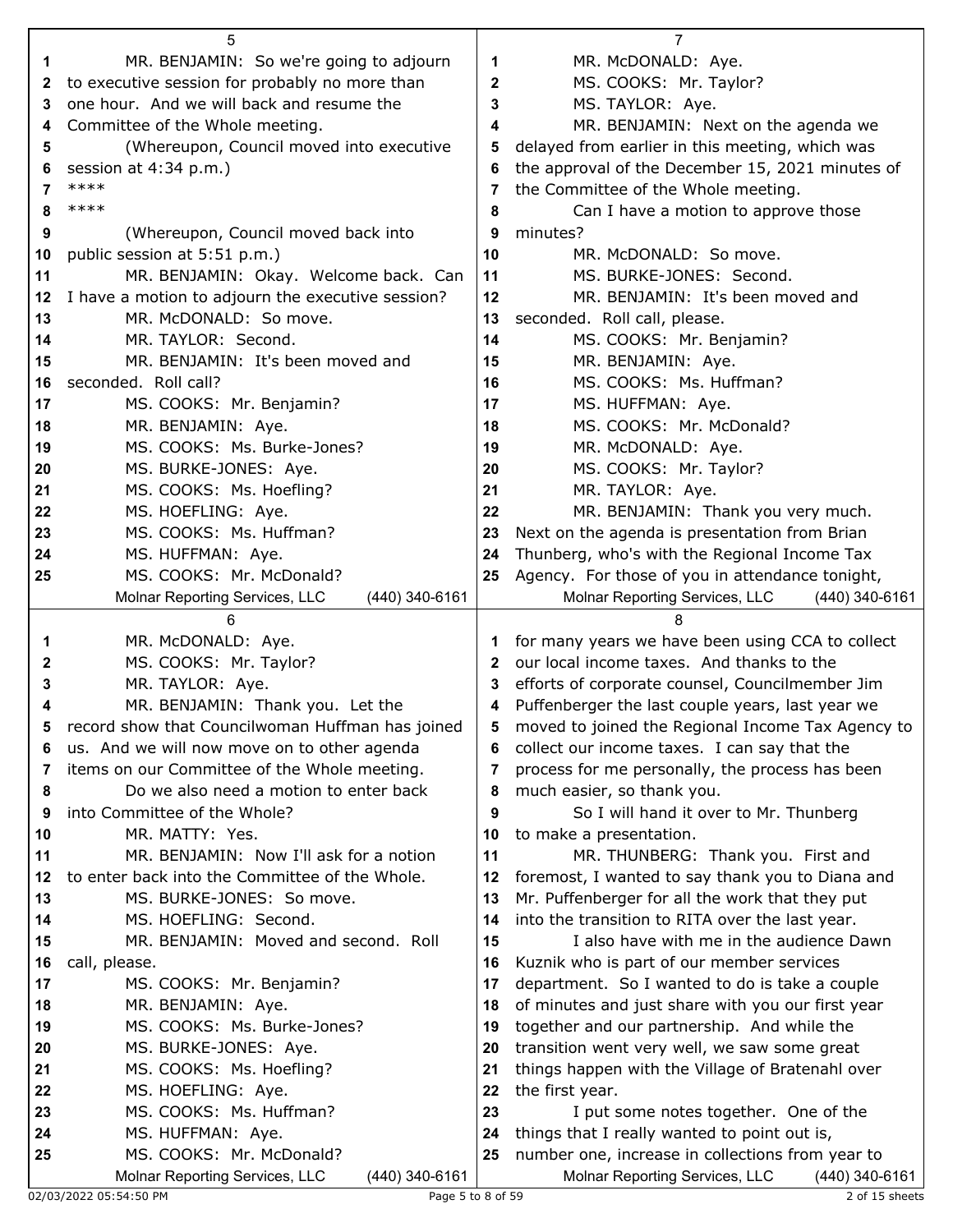|    | 5                                                                            |                  | $\overline{7}$                                                                                       |
|----|------------------------------------------------------------------------------|------------------|------------------------------------------------------------------------------------------------------|
| 1  | MR. BENJAMIN: So we're going to adjourn                                      | 1                | MR. McDONALD: Aye.                                                                                   |
| 2  | to executive session for probably no more than                               | $\boldsymbol{2}$ | MS. COOKS: Mr. Taylor?                                                                               |
| 3  | one hour. And we will back and resume the                                    | 3                | MS. TAYLOR: Aye.                                                                                     |
| 4  | Committee of the Whole meeting.                                              | 4                | MR. BENJAMIN: Next on the agenda we                                                                  |
| 5  | (Whereupon, Council moved into executive                                     | 5                | delayed from earlier in this meeting, which was                                                      |
| 6  | session at 4:34 p.m.)                                                        | 6                | the approval of the December 15, 2021 minutes of                                                     |
| 7  | ****                                                                         | 7                | the Committee of the Whole meeting.                                                                  |
| 8  | ****                                                                         | 8                | Can I have a motion to approve those                                                                 |
| 9  | (Whereupon, Council moved back into                                          | 9                | minutes?                                                                                             |
| 10 | public session at 5:51 p.m.)                                                 | 10               | MR. McDONALD: So move.                                                                               |
| 11 | MR. BENJAMIN: Okay. Welcome back. Can                                        | 11               | MS. BURKE-JONES: Second.                                                                             |
|    | I have a motion to adjourn the executive session?                            |                  | MR. BENJAMIN: It's been moved and                                                                    |
| 12 |                                                                              | 12               |                                                                                                      |
| 13 | MR. McDONALD: So move.                                                       | 13               | seconded. Roll call, please.                                                                         |
| 14 | MR. TAYLOR: Second.                                                          | 14               | MS. COOKS: Mr. Benjamin?                                                                             |
| 15 | MR. BENJAMIN: It's been moved and                                            | 15               | MR. BENJAMIN: Aye.                                                                                   |
| 16 | seconded. Roll call?                                                         | 16               | MS. COOKS: Ms. Huffman?                                                                              |
| 17 | MS. COOKS: Mr. Benjamin?                                                     | 17               | MS. HUFFMAN: Aye.                                                                                    |
| 18 | MR. BENJAMIN: Aye.                                                           | 18               | MS. COOKS: Mr. McDonald?                                                                             |
| 19 | MS. COOKS: Ms. Burke-Jones?                                                  | 19               | MR. McDONALD: Aye.                                                                                   |
| 20 | MS. BURKE-JONES: Aye.                                                        | 20               | MS. COOKS: Mr. Taylor?                                                                               |
| 21 | MS. COOKS: Ms. Hoefling?                                                     | 21               | MR. TAYLOR: Aye.                                                                                     |
| 22 | MS. HOEFLING: Aye.                                                           | 22               | MR. BENJAMIN: Thank you very much.                                                                   |
| 23 | MS. COOKS: Ms. Huffman?                                                      | 23               | Next on the agenda is presentation from Brian                                                        |
| 24 | MS. HUFFMAN: Aye.                                                            | 24               | Thunberg, who's with the Regional Income Tax                                                         |
| 25 | MS. COOKS: Mr. McDonald?                                                     | 25               | Agency. For those of you in attendance tonight,                                                      |
|    | (440) 340-6161<br>Molnar Reporting Services, LLC                             |                  | Molnar Reporting Services, LLC<br>(440) 340-6161                                                     |
|    |                                                                              |                  |                                                                                                      |
|    | 6                                                                            |                  |                                                                                                      |
| 1  | MR. McDONALD: Aye.                                                           | 1                | for many years we have been using CCA to collect                                                     |
| 2  | MS. COOKS: Mr. Taylor?                                                       | 2                | our local income taxes. And thanks to the                                                            |
| 3  | MR. TAYLOR: Aye.                                                             | 3                | efforts of corporate counsel, Councilmember Jim                                                      |
|    | MR. BENJAMIN: Thank you. Let the                                             | 4                | Puffenberger the last couple years, last year we                                                     |
|    | record show that Councilwoman Huffman has joined                             | 5                | moved to joined the Regional Income Tax Agency to                                                    |
| 6  | us. And we will now move on to other agenda                                  | 6                | collect our income taxes. I can say that the                                                         |
| 7  | items on our Committee of the Whole meeting.                                 | 7                | process for me personally, the process has been                                                      |
| 8  | Do we also need a motion to enter back                                       | 8                |                                                                                                      |
| 9  | into Committee of the Whole?                                                 | 9                | much easier, so thank you.                                                                           |
| 10 | MR. MATTY: Yes.                                                              | 10               | So I will hand it over to Mr. Thunberg<br>to make a presentation.                                    |
| 11 | MR. BENJAMIN: Now I'll ask for a notion                                      | 11               |                                                                                                      |
| 12 | to enter back into the Committee of the Whole.                               | 12               | MR. THUNBERG: Thank you. First and                                                                   |
| 13 | MS. BURKE-JONES: So move.                                                    | 13               | foremost, I wanted to say thank you to Diana and                                                     |
|    |                                                                              | 14               | Mr. Puffenberger for all the work that they put                                                      |
| 14 | MS. HOEFLING: Second.                                                        |                  | into the transition to RITA over the last year.                                                      |
| 15 | MR. BENJAMIN: Moved and second. Roll                                         | 15<br>16         | I also have with me in the audience Dawn                                                             |
| 16 | call, please.                                                                |                  | Kuznik who is part of our member services                                                            |
| 17 | MS. COOKS: Mr. Benjamin?                                                     | 17<br>18         | department. So I wanted to do is take a couple                                                       |
| 18 | MR. BENJAMIN: Aye.                                                           |                  | of minutes and just share with you our first year                                                    |
| 19 | MS. COOKS: Ms. Burke-Jones?                                                  | 19               | together and our partnership. And while the                                                          |
| 20 | MS. BURKE-JONES: Aye.                                                        | 20               | transition went very well, we saw some great                                                         |
| 21 | MS. COOKS: Ms. Hoefling?                                                     | 21               | things happen with the Village of Bratenahl over                                                     |
| 22 | MS. HOEFLING: Aye.                                                           | 22               | the first year.                                                                                      |
| 23 | MS. COOKS: Ms. Huffman?                                                      | 23               | I put some notes together. One of the                                                                |
| 24 | MS. HUFFMAN: Aye.                                                            | 24               | things that I really wanted to point out is,                                                         |
| 25 | MS. COOKS: Mr. McDonald?<br>Molnar Reporting Services, LLC<br>(440) 340-6161 | 25               | number one, increase in collections from year to<br>Molnar Reporting Services, LLC<br>(440) 340-6161 |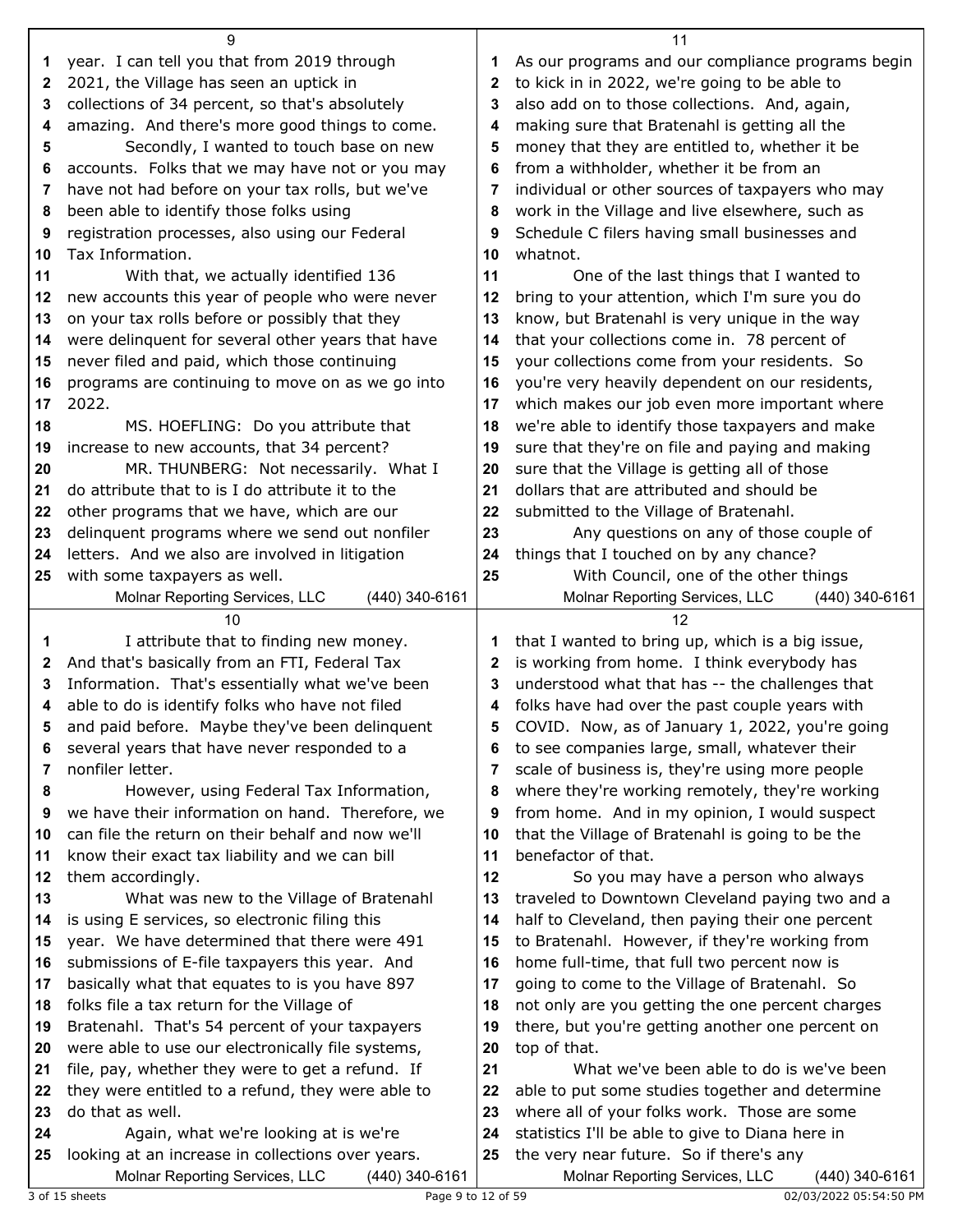|              | 9                                                                                            |          | 11                                                                                                   |
|--------------|----------------------------------------------------------------------------------------------|----------|------------------------------------------------------------------------------------------------------|
| 1            | year. I can tell you that from 2019 through                                                  | 1        | As our programs and our compliance programs begin                                                    |
| $\mathbf{2}$ | 2021, the Village has seen an uptick in                                                      | 2        | to kick in in 2022, we're going to be able to                                                        |
| 3            | collections of 34 percent, so that's absolutely                                              | 3        | also add on to those collections. And, again,                                                        |
| 4            | amazing. And there's more good things to come.                                               | 4        | making sure that Bratenahl is getting all the                                                        |
| 5            | Secondly, I wanted to touch base on new                                                      | 5        | money that they are entitled to, whether it be                                                       |
| 6            | accounts. Folks that we may have not or you may                                              | 6        | from a withholder, whether it be from an                                                             |
| 7            | have not had before on your tax rolls, but we've                                             | 7        | individual or other sources of taxpayers who may                                                     |
| 8            | been able to identify those folks using                                                      | 8        | work in the Village and live elsewhere, such as                                                      |
| 9            | registration processes, also using our Federal                                               | 9        | Schedule C filers having small businesses and                                                        |
| 10           | Tax Information.                                                                             | 10       | whatnot.                                                                                             |
| 11           | With that, we actually identified 136                                                        | 11       | One of the last things that I wanted to                                                              |
| 12           | new accounts this year of people who were never                                              | 12       | bring to your attention, which I'm sure you do                                                       |
| 13           | on your tax rolls before or possibly that they                                               | 13       | know, but Bratenahl is very unique in the way                                                        |
| 14           | were delinquent for several other years that have                                            | 14       | that your collections come in. 78 percent of                                                         |
| 15           | never filed and paid, which those continuing                                                 | 15       | your collections come from your residents. So                                                        |
| 16           | programs are continuing to move on as we go into                                             | 16       | you're very heavily dependent on our residents,                                                      |
| 17           | 2022.                                                                                        | 17       | which makes our job even more important where                                                        |
| 18           | MS. HOEFLING: Do you attribute that                                                          | 18       | we're able to identify those taxpayers and make                                                      |
| 19           | increase to new accounts, that 34 percent?                                                   | 19       | sure that they're on file and paying and making                                                      |
| 20           | MR. THUNBERG: Not necessarily. What I                                                        | 20       | sure that the Village is getting all of those                                                        |
| 21           | do attribute that to is I do attribute it to the                                             | 21       | dollars that are attributed and should be                                                            |
| 22           | other programs that we have, which are our                                                   | 22       | submitted to the Village of Bratenahl.                                                               |
| 23           | delinquent programs where we send out nonfiler                                               | 23       | Any questions on any of those couple of                                                              |
| 24           | letters. And we also are involved in litigation                                              | 24       | things that I touched on by any chance?                                                              |
| 25           | with some taxpayers as well.                                                                 | 25       | With Council, one of the other things                                                                |
|              | Molnar Reporting Services, LLC<br>(440) 340-6161                                             |          | Molnar Reporting Services, LLC<br>(440) 340-6161                                                     |
|              |                                                                                              |          |                                                                                                      |
|              | 10                                                                                           |          | 12                                                                                                   |
| 1            | I attribute that to finding new money.                                                       | 1        | that I wanted to bring up, which is a big issue,                                                     |
| 2            | And that's basically from an FTI, Federal Tax                                                | 2        | is working from home. I think everybody has                                                          |
| 3            | Information. That's essentially what we've been                                              | 3        | understood what that has -- the challenges that                                                      |
| 4            | able to do is identify folks who have not filed                                              | 4        | folks have had over the past couple years with                                                       |
| 5            | and paid before. Maybe they've been delinquent                                               | 5        | COVID. Now, as of January 1, 2022, you're going                                                      |
| 6            | several years that have never responded to a                                                 | 6        | to see companies large, small, whatever their                                                        |
| 7            | nonfiler letter.                                                                             | 7        | scale of business is, they're using more people                                                      |
| 8            | However, using Federal Tax Information,                                                      | 8        | where they're working remotely, they're working                                                      |
| 9            | we have their information on hand. Therefore, we                                             | 9        | from home. And in my opinion, I would suspect                                                        |
| 10           | can file the return on their behalf and now we'll                                            | 10       | that the Village of Bratenahl is going to be the                                                     |
| 11           | know their exact tax liability and we can bill                                               | 11       | benefactor of that.                                                                                  |
| 12           | them accordingly.                                                                            | 12       | So you may have a person who always                                                                  |
| 13           | What was new to the Village of Bratenahl                                                     | 13       | traveled to Downtown Cleveland paying two and a                                                      |
| 14           | is using E services, so electronic filing this                                               | 14       | half to Cleveland, then paying their one percent                                                     |
| 15           | year. We have determined that there were 491                                                 | 15<br>16 | to Bratenahl. However, if they're working from                                                       |
| 16<br>17     | submissions of E-file taxpayers this year. And                                               | 17       | home full-time, that full two percent now is                                                         |
| 18           | basically what that equates to is you have 897                                               | 18       | going to come to the Village of Bratenahl. So                                                        |
| 19           | folks file a tax return for the Village of<br>Bratenahl. That's 54 percent of your taxpayers | 19       | not only are you getting the one percent charges<br>there, but you're getting another one percent on |
| 20           | were able to use our electronically file systems,                                            | 20       | top of that.                                                                                         |
| 21           | file, pay, whether they were to get a refund. If                                             | 21       | What we've been able to do is we've been                                                             |
| 22           | they were entitled to a refund, they were able to                                            | 22       | able to put some studies together and determine                                                      |
| 23           | do that as well.                                                                             | 23       | where all of your folks work. Those are some                                                         |
|              | Again, what we're looking at is we're                                                        | 24       | statistics I'll be able to give to Diana here in                                                     |
| 24<br>25     | looking at an increase in collections over years.                                            | 25       | the very near future. So if there's any                                                              |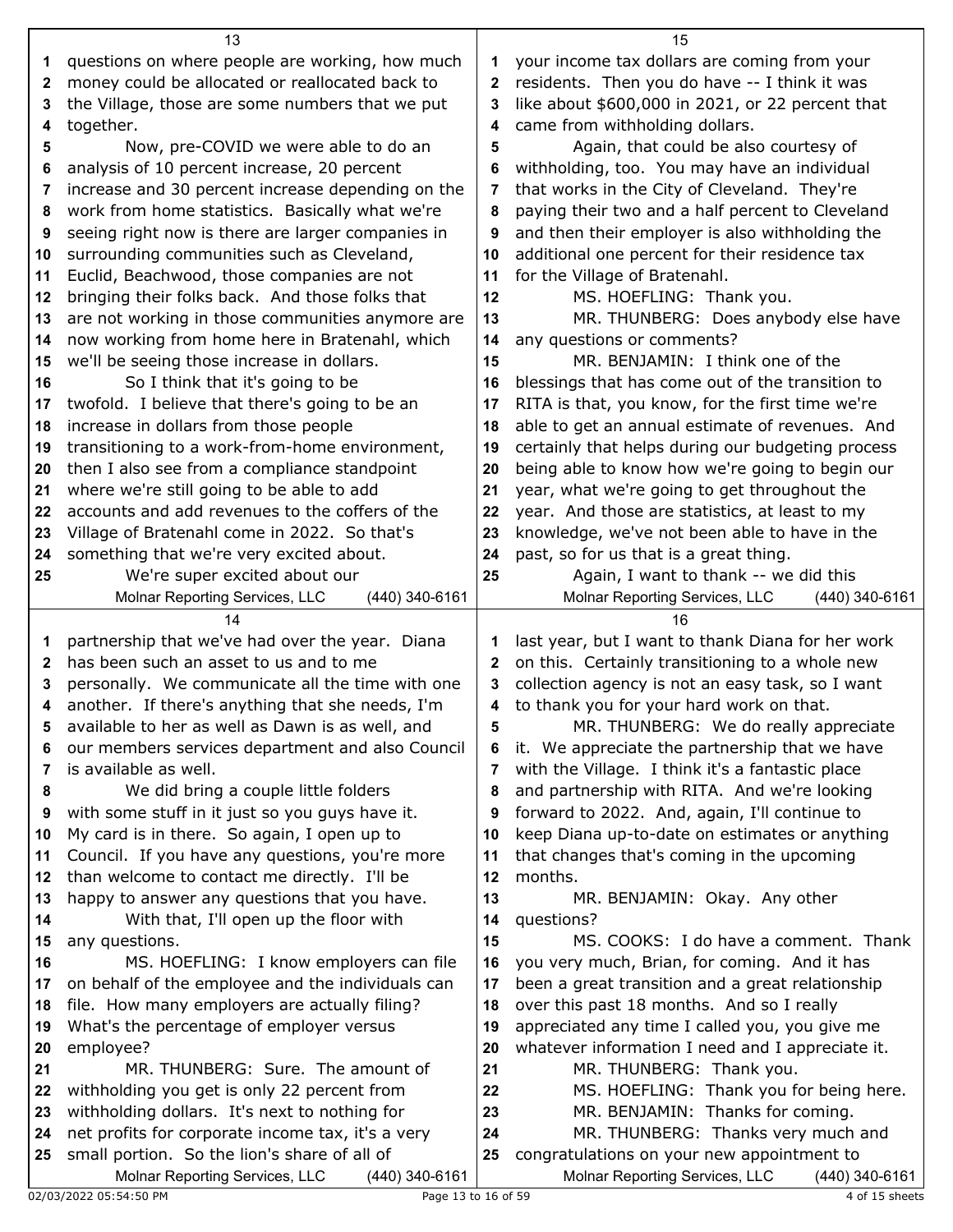|              | 13                                                                                               |          | 15                                                                                             |
|--------------|--------------------------------------------------------------------------------------------------|----------|------------------------------------------------------------------------------------------------|
| 1            | questions on where people are working, how much                                                  | 1        | your income tax dollars are coming from your                                                   |
| $\mathbf{2}$ | money could be allocated or reallocated back to                                                  | 2        | residents. Then you do have -- I think it was                                                  |
| 3            | the Village, those are some numbers that we put                                                  | 3        | like about \$600,000 in 2021, or 22 percent that                                               |
| 4            | together.                                                                                        | 4        | came from withholding dollars.                                                                 |
| 5            | Now, pre-COVID we were able to do an                                                             | 5        | Again, that could be also courtesy of                                                          |
| 6            | analysis of 10 percent increase, 20 percent                                                      | 6        | withholding, too. You may have an individual                                                   |
| 7            | increase and 30 percent increase depending on the                                                | 7        | that works in the City of Cleveland. They're                                                   |
| 8            | work from home statistics. Basically what we're                                                  | 8        | paying their two and a half percent to Cleveland                                               |
| 9            | seeing right now is there are larger companies in                                                | 9        | and then their employer is also withholding the                                                |
| 10           | surrounding communities such as Cleveland,                                                       | 10       | additional one percent for their residence tax                                                 |
| 11           | Euclid, Beachwood, those companies are not                                                       | 11       | for the Village of Bratenahl.                                                                  |
| 12           | bringing their folks back. And those folks that                                                  | 12       | MS. HOEFLING: Thank you.                                                                       |
| 13           | are not working in those communities anymore are                                                 | 13       | MR. THUNBERG: Does anybody else have                                                           |
| 14           | now working from home here in Bratenahl, which                                                   | 14       | any questions or comments?                                                                     |
| 15           | we'll be seeing those increase in dollars.                                                       | 15       | MR. BENJAMIN: I think one of the                                                               |
| 16           | So I think that it's going to be                                                                 | 16       | blessings that has come out of the transition to                                               |
| 17           | twofold. I believe that there's going to be an                                                   | 17       | RITA is that, you know, for the first time we're                                               |
| 18           | increase in dollars from those people                                                            | 18       | able to get an annual estimate of revenues. And                                                |
| 19           | transitioning to a work-from-home environment,                                                   | 19       | certainly that helps during our budgeting process                                              |
| 20           | then I also see from a compliance standpoint                                                     | 20       | being able to know how we're going to begin our                                                |
| 21           | where we're still going to be able to add                                                        | 21       | year, what we're going to get throughout the                                                   |
| 22           | accounts and add revenues to the coffers of the                                                  | 22       | year. And those are statistics, at least to my                                                 |
| 23           | Village of Bratenahl come in 2022. So that's                                                     | 23       | knowledge, we've not been able to have in the                                                  |
| 24           | something that we're very excited about.                                                         | 24       | past, so for us that is a great thing.                                                         |
| 25           | We're super excited about our                                                                    | 25       | Again, I want to thank -- we did this                                                          |
|              | Molnar Reporting Services, LLC<br>(440) 340-6161                                                 |          | Molnar Reporting Services, LLC<br>(440) 340-6161                                               |
|              |                                                                                                  |          |                                                                                                |
|              | 14                                                                                               |          | 16                                                                                             |
|              |                                                                                                  |          |                                                                                                |
| 1            | partnership that we've had over the year. Diana                                                  | 1        | last year, but I want to thank Diana for her work                                              |
| $\mathbf{2}$ | has been such an asset to us and to me                                                           | 2        | on this. Certainly transitioning to a whole new                                                |
| 3            | personally. We communicate all the time with one                                                 | 3        | collection agency is not an easy task, so I want                                               |
| 4<br>5       | another. If there's anything that she needs, I'm                                                 | 4<br>5   | to thank you for your hard work on that.                                                       |
|              | available to her as well as Dawn is as well, and                                                 |          | MR. THUNBERG: We do really appreciate                                                          |
| 6            | our members services department and also Council                                                 | 6        | it. We appreciate the partnership that we have                                                 |
| 7            | is available as well.                                                                            | 7        | with the Village. I think it's a fantastic place                                               |
| 8            | We did bring a couple little folders                                                             | 8        | and partnership with RITA. And we're looking                                                   |
| 9            | with some stuff in it just so you guys have it.                                                  | 9        | forward to 2022. And, again, I'll continue to                                                  |
| 10           | My card is in there. So again, I open up to                                                      | 10       | keep Diana up-to-date on estimates or anything                                                 |
| 11           | Council. If you have any questions, you're more                                                  | 11<br>12 | that changes that's coming in the upcoming                                                     |
| 12           | than welcome to contact me directly. I'll be                                                     |          | months.                                                                                        |
| 13           | happy to answer any questions that you have.                                                     | 13       | MR. BENJAMIN: Okay. Any other                                                                  |
| 14           | With that, I'll open up the floor with                                                           | 14       | questions?                                                                                     |
| 15           | any questions.                                                                                   | 15       | MS. COOKS: I do have a comment. Thank                                                          |
| 16<br>17     | MS. HOEFLING: I know employers can file                                                          | 16<br>17 | you very much, Brian, for coming. And it has                                                   |
| 18           | on behalf of the employee and the individuals can                                                |          | been a great transition and a great relationship                                               |
|              | file. How many employers are actually filing?                                                    | 18       | over this past 18 months. And so I really                                                      |
| 19           | What's the percentage of employer versus                                                         | 19       | appreciated any time I called you, you give me                                                 |
| 20           | employee?                                                                                        | 20       | whatever information I need and I appreciate it.                                               |
| 21           | MR. THUNBERG: Sure. The amount of                                                                | 21       | MR. THUNBERG: Thank you.                                                                       |
| 22           | withholding you get is only 22 percent from                                                      | 22       | MS. HOEFLING: Thank you for being here.                                                        |
| 23           | withholding dollars. It's next to nothing for                                                    | 23       | MR. BENJAMIN: Thanks for coming.                                                               |
| 24           | net profits for corporate income tax, it's a very                                                | 24       | MR. THUNBERG: Thanks very much and                                                             |
| 25           | small portion. So the lion's share of all of<br>Molnar Reporting Services, LLC<br>(440) 340-6161 | 25       | congratulations on your new appointment to<br>Molnar Reporting Services, LLC<br>(440) 340-6161 |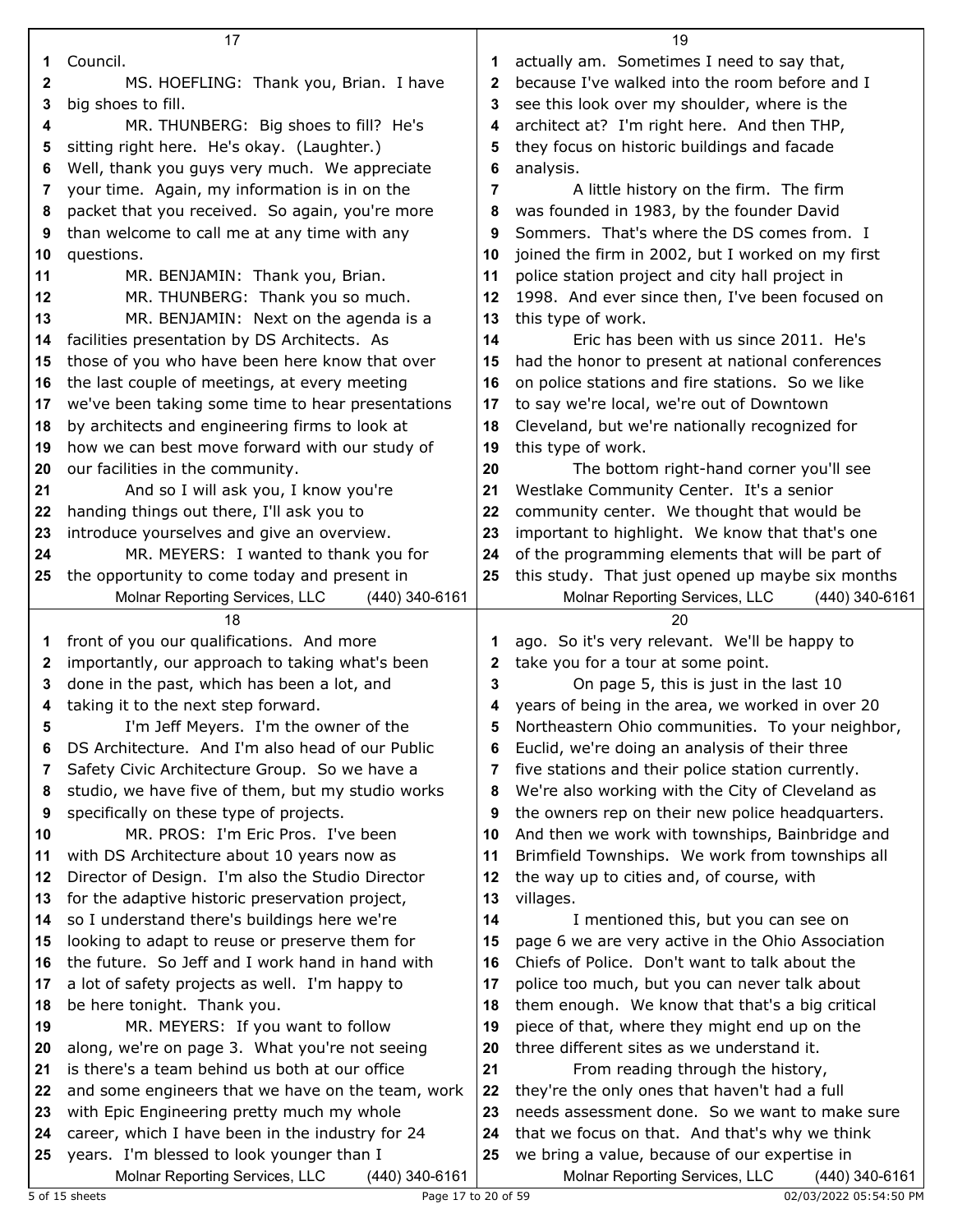|        | 17                                                                                           |        | 19                                                                                                   |
|--------|----------------------------------------------------------------------------------------------|--------|------------------------------------------------------------------------------------------------------|
| 1      | Council.                                                                                     | 1      | actually am. Sometimes I need to say that,                                                           |
| 2      | MS. HOEFLING: Thank you, Brian. I have                                                       | 2      | because I've walked into the room before and I                                                       |
| 3      | big shoes to fill.                                                                           | 3      | see this look over my shoulder, where is the                                                         |
| 4      | MR. THUNBERG: Big shoes to fill? He's                                                        | 4      | architect at? I'm right here. And then THP,                                                          |
| 5      | sitting right here. He's okay. (Laughter.)                                                   | 5      | they focus on historic buildings and facade                                                          |
| 6      | Well, thank you guys very much. We appreciate                                                | 6      | analysis.                                                                                            |
| 7      | your time. Again, my information is in on the                                                | 7      | A little history on the firm. The firm                                                               |
| 8      | packet that you received. So again, you're more                                              | 8      | was founded in 1983, by the founder David                                                            |
| 9      | than welcome to call me at any time with any                                                 | 9      | Sommers. That's where the DS comes from. I                                                           |
| 10     | questions.                                                                                   | 10     | joined the firm in 2002, but I worked on my first                                                    |
| 11     | MR. BENJAMIN: Thank you, Brian.                                                              | 11     | police station project and city hall project in                                                      |
| 12     | MR. THUNBERG: Thank you so much.                                                             | 12     | 1998. And ever since then, I've been focused on                                                      |
| 13     | MR. BENJAMIN: Next on the agenda is a                                                        | 13     | this type of work.                                                                                   |
| 14     | facilities presentation by DS Architects. As                                                 | 14     | Eric has been with us since 2011. He's                                                               |
| 15     | those of you who have been here know that over                                               | 15     | had the honor to present at national conferences                                                     |
| 16     | the last couple of meetings, at every meeting                                                | 16     | on police stations and fire stations. So we like                                                     |
| 17     | we've been taking some time to hear presentations                                            | 17     | to say we're local, we're out of Downtown                                                            |
| 18     | by architects and engineering firms to look at                                               | 18     | Cleveland, but we're nationally recognized for                                                       |
| 19     | how we can best move forward with our study of                                               | 19     | this type of work.                                                                                   |
| 20     | our facilities in the community.                                                             | 20     | The bottom right-hand corner you'll see                                                              |
| 21     | And so I will ask you, I know you're                                                         | 21     | Westlake Community Center. It's a senior                                                             |
| 22     | handing things out there, I'll ask you to                                                    | 22     | community center. We thought that would be                                                           |
| 23     | introduce yourselves and give an overview.                                                   | 23     | important to highlight. We know that that's one                                                      |
| 24     | MR. MEYERS: I wanted to thank you for                                                        | 24     | of the programming elements that will be part of                                                     |
| 25     | the opportunity to come today and present in                                                 | 25     | this study. That just opened up maybe six months                                                     |
|        | Molnar Reporting Services, LLC<br>(440) 340-6161                                             |        | Molnar Reporting Services, LLC<br>(440) 340-6161                                                     |
|        | 18                                                                                           |        | 20                                                                                                   |
| 1      | front of you our qualifications. And more                                                    | 1      | ago. So it's very relevant. We'll be happy to                                                        |
| 2      | importantly, our approach to taking what's been                                              | 2      | take you for a tour at some point.                                                                   |
| 3      | done in the past, which has been a lot, and                                                  | 3      | On page 5, this is just in the last 10                                                               |
| 4      | taking it to the next step forward.                                                          | 4      | years of being in the area, we worked in over 20                                                     |
| 5      | I'm Jeff Meyers. I'm the owner of the                                                        | 5      | Northeastern Ohio communities. To your neighbor,                                                     |
| 6      | DS Architecture. And I'm also head of our Public                                             | 6      | Euclid, we're doing an analysis of their three                                                       |
| 7      | Safety Civic Architecture Group. So we have a                                                | 7      | five stations and their police station currently.                                                    |
| 8<br>9 | studio, we have five of them, but my studio works<br>specifically on these type of projects. | 8<br>9 | We're also working with the City of Cleveland as<br>the owners rep on their new police headquarters. |
| 10     | MR. PROS: I'm Eric Pros. I've been                                                           | 10     | And then we work with townships, Bainbridge and                                                      |
| 11     | with DS Architecture about 10 years now as                                                   | 11     | Brimfield Townships. We work from townships all                                                      |
| 12     | Director of Design. I'm also the Studio Director                                             | 12     | the way up to cities and, of course, with                                                            |
| 13     | for the adaptive historic preservation project,                                              | 13     | villages.                                                                                            |
| 14     | so I understand there's buildings here we're                                                 | 14     | I mentioned this, but you can see on                                                                 |
| 15     | looking to adapt to reuse or preserve them for                                               | 15     | page 6 we are very active in the Ohio Association                                                    |
| 16     | the future. So Jeff and I work hand in hand with                                             | 16     | Chiefs of Police. Don't want to talk about the                                                       |
| 17     | a lot of safety projects as well. I'm happy to                                               | 17     | police too much, but you can never talk about                                                        |
| 18     | be here tonight. Thank you.                                                                  | 18     | them enough. We know that that's a big critical                                                      |
| 19     | MR. MEYERS: If you want to follow                                                            | 19     | piece of that, where they might end up on the                                                        |
| 20     | along, we're on page 3. What you're not seeing                                               | 20     | three different sites as we understand it.                                                           |
| 21     | is there's a team behind us both at our office                                               | 21     | From reading through the history,                                                                    |
| 22     | and some engineers that we have on the team, work                                            | 22     | they're the only ones that haven't had a full                                                        |
| 23     | with Epic Engineering pretty much my whole                                                   | 23     | needs assessment done. So we want to make sure                                                       |
| 24     | career, which I have been in the industry for 24                                             | 24     | that we focus on that. And that's why we think                                                       |
| 25     | years. I'm blessed to look younger than I                                                    | 25     | we bring a value, because of our expertise in                                                        |
|        | Molnar Reporting Services, LLC<br>(440) 340-6161                                             |        | Molnar Reporting Services, LLC<br>(440) 340-6161                                                     |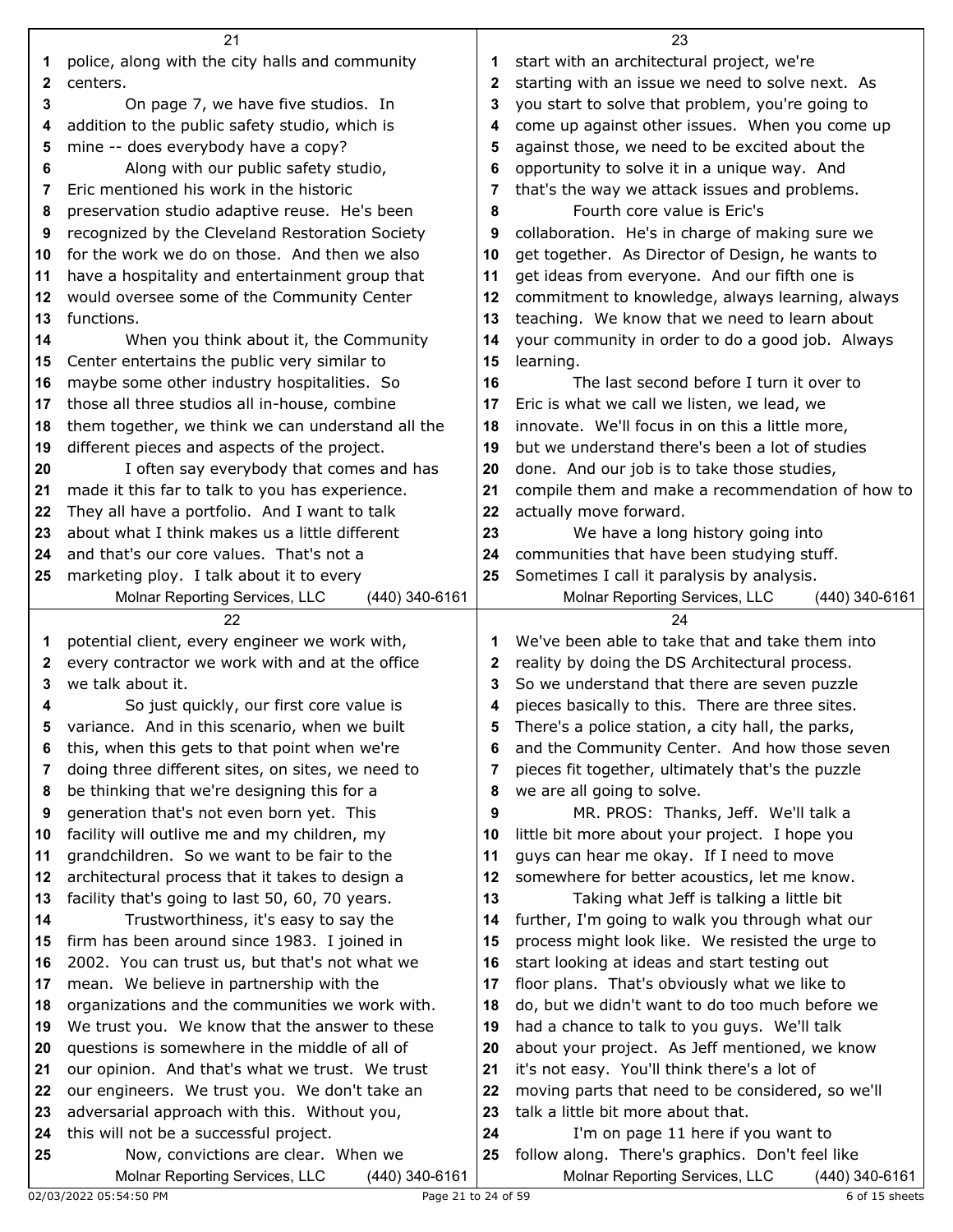|              | 21                                                                                                |          | 23                                                                                              |
|--------------|---------------------------------------------------------------------------------------------------|----------|-------------------------------------------------------------------------------------------------|
| 1            | police, along with the city halls and community                                                   | 1        | start with an architectural project, we're                                                      |
| $\mathbf{2}$ | centers.                                                                                          | 2        | starting with an issue we need to solve next. As                                                |
| 3            | On page 7, we have five studios. In                                                               | 3        | you start to solve that problem, you're going to                                                |
| 4            | addition to the public safety studio, which is                                                    | 4        | come up against other issues. When you come up                                                  |
| 5            | mine -- does everybody have a copy?                                                               | 5        | against those, we need to be excited about the                                                  |
| 6            | Along with our public safety studio,                                                              | 6        | opportunity to solve it in a unique way. And                                                    |
| 7            | Eric mentioned his work in the historic                                                           | 7        | that's the way we attack issues and problems.                                                   |
| 8            | preservation studio adaptive reuse. He's been                                                     | 8        | Fourth core value is Eric's                                                                     |
| 9            | recognized by the Cleveland Restoration Society                                                   | 9        | collaboration. He's in charge of making sure we                                                 |
| 10           | for the work we do on those. And then we also                                                     | 10       | get together. As Director of Design, he wants to                                                |
| 11           | have a hospitality and entertainment group that                                                   | 11       | get ideas from everyone. And our fifth one is                                                   |
| 12           | would oversee some of the Community Center                                                        | 12       | commitment to knowledge, always learning, always                                                |
| 13           | functions.                                                                                        | 13       | teaching. We know that we need to learn about                                                   |
| 14           | When you think about it, the Community                                                            | 14       | your community in order to do a good job. Always                                                |
| 15           | Center entertains the public very similar to                                                      | 15       | learning.                                                                                       |
| 16           | maybe some other industry hospitalities. So                                                       | 16       | The last second before I turn it over to                                                        |
| 17           | those all three studios all in-house, combine                                                     | 17       | Eric is what we call we listen, we lead, we                                                     |
| 18           | them together, we think we can understand all the                                                 | 18       | innovate. We'll focus in on this a little more,                                                 |
| 19           | different pieces and aspects of the project.                                                      | 19       | but we understand there's been a lot of studies                                                 |
| 20           | I often say everybody that comes and has                                                          | 20       | done. And our job is to take those studies,                                                     |
| 21           | made it this far to talk to you has experience.                                                   | 21       | compile them and make a recommendation of how to                                                |
| 22           | They all have a portfolio. And I want to talk                                                     | 22       | actually move forward.                                                                          |
| 23           | about what I think makes us a little different                                                    | 23       | We have a long history going into                                                               |
| 24           | and that's our core values. That's not a                                                          | 24       | communities that have been studying stuff.                                                      |
| 25           | marketing ploy. I talk about it to every                                                          | 25       | Sometimes I call it paralysis by analysis.                                                      |
|              | Molnar Reporting Services, LLC<br>(440) 340-6161                                                  |          | Molnar Reporting Services, LLC<br>(440) 340-6161                                                |
|              |                                                                                                   |          |                                                                                                 |
|              | 22                                                                                                |          | 24                                                                                              |
| 1            | potential client, every engineer we work with,                                                    | 1        | We've been able to take that and take them into                                                 |
| $\mathbf{2}$ | every contractor we work with and at the office                                                   | 2        | reality by doing the DS Architectural process.                                                  |
| 3            | we talk about it.                                                                                 | 3        | So we understand that there are seven puzzle                                                    |
| 4            | So just quickly, our first core value is                                                          | 4        | pieces basically to this. There are three sites.                                                |
| 5            | variance. And in this scenario, when we built                                                     | 5        | There's a police station, a city hall, the parks,                                               |
| 6            | this, when this gets to that point when we're                                                     | 6        | and the Community Center. And how those seven                                                   |
| 7            | doing three different sites, on sites, we need to                                                 | 7        | pieces fit together, ultimately that's the puzzle                                               |
| 8            | be thinking that we're designing this for a                                                       | 8        | we are all going to solve.                                                                      |
| 9            | generation that's not even born yet. This                                                         | 9        | MR. PROS: Thanks, Jeff. We'll talk a                                                            |
| 10           | facility will outlive me and my children, my                                                      | 10       | little bit more about your project. I hope you                                                  |
| 11           | grandchildren. So we want to be fair to the                                                       | 11       | guys can hear me okay. If I need to move                                                        |
| 12           | architectural process that it takes to design a                                                   | 12       | somewhere for better acoustics, let me know.                                                    |
| 13           | facility that's going to last 50, 60, 70 years.                                                   | 13       | Taking what Jeff is talking a little bit                                                        |
| 14           | Trustworthiness, it's easy to say the                                                             | 14<br>15 | further, I'm going to walk you through what our                                                 |
| 15<br>16     | firm has been around since 1983. I joined in                                                      | 16       | process might look like. We resisted the urge to                                                |
| 17           | 2002. You can trust us, but that's not what we                                                    | 17       | start looking at ideas and start testing out                                                    |
| 18           | mean. We believe in partnership with the                                                          | 18       | floor plans. That's obviously what we like to                                                   |
| 19           | organizations and the communities we work with.<br>We trust you. We know that the answer to these | 19       | do, but we didn't want to do too much before we<br>had a chance to talk to you guys. We'll talk |
| 20           | questions is somewhere in the middle of all of                                                    | 20       | about your project. As Jeff mentioned, we know                                                  |
| 21           | our opinion. And that's what we trust. We trust                                                   | 21       | it's not easy. You'll think there's a lot of                                                    |
| 22           | our engineers. We trust you. We don't take an                                                     | 22       | moving parts that need to be considered, so we'll                                               |
| 23           | adversarial approach with this. Without you,                                                      | 23       | talk a little bit more about that.                                                              |
| 24           | this will not be a successful project.                                                            | 24       | I'm on page 11 here if you want to                                                              |
| 25           | Now, convictions are clear. When we<br>Molnar Reporting Services, LLC                             | 25       | follow along. There's graphics. Don't feel like                                                 |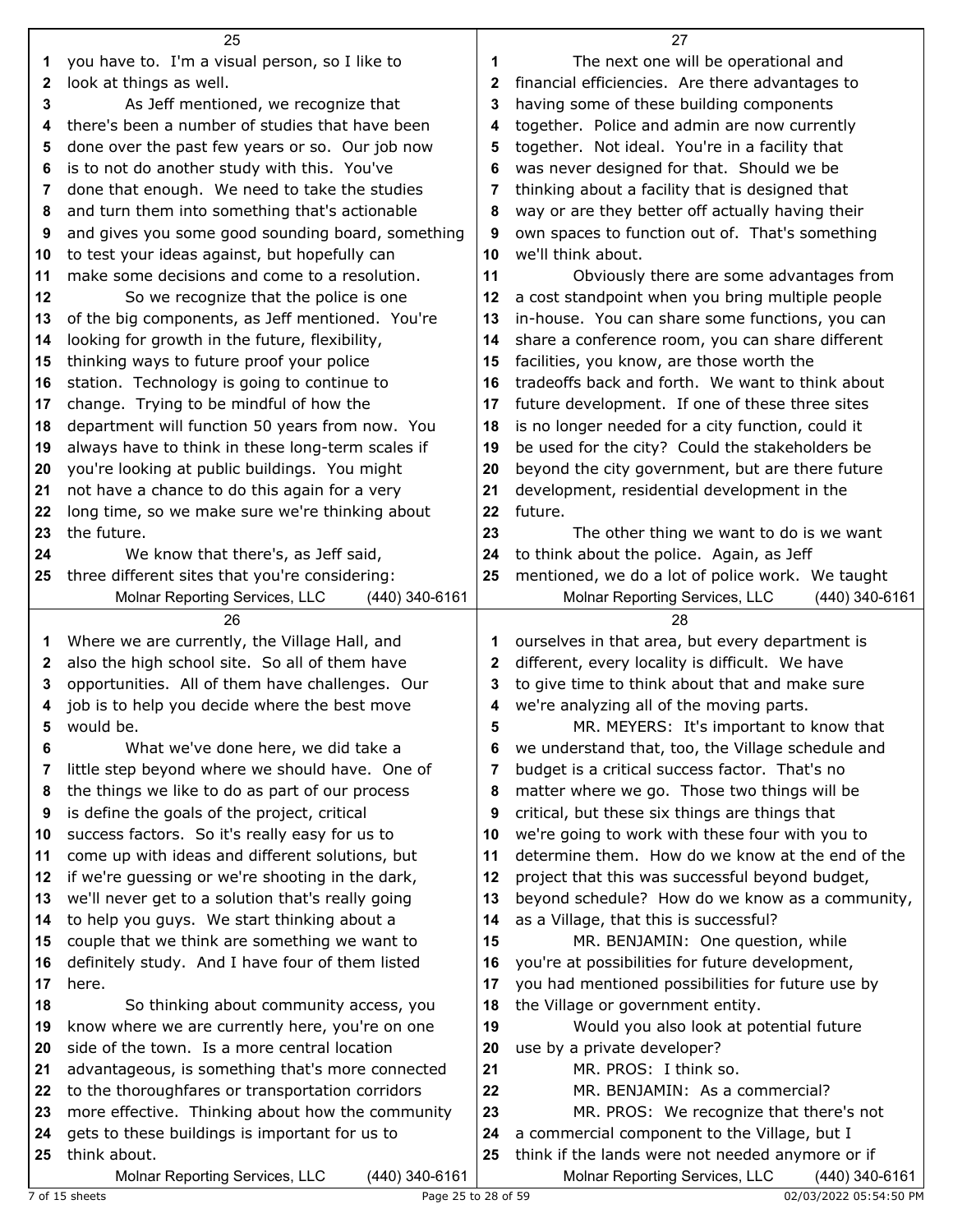|          | 25                                                        |          | 27                                                                                     |
|----------|-----------------------------------------------------------|----------|----------------------------------------------------------------------------------------|
| 1        | you have to. I'm a visual person, so I like to            | 1        | The next one will be operational and                                                   |
| 2        | look at things as well.                                   | 2        | financial efficiencies. Are there advantages to                                        |
| 3        | As Jeff mentioned, we recognize that                      | 3        | having some of these building components                                               |
| 4        | there's been a number of studies that have been           | 4        | together. Police and admin are now currently                                           |
| 5        | done over the past few years or so. Our job now           | 5        | together. Not ideal. You're in a facility that                                         |
| 6        | is to not do another study with this. You've              | 6        | was never designed for that. Should we be                                              |
| 7        | done that enough. We need to take the studies             | 7        | thinking about a facility that is designed that                                        |
| 8        | and turn them into something that's actionable            | 8        | way or are they better off actually having their                                       |
| 9        | and gives you some good sounding board, something         | 9        | own spaces to function out of. That's something                                        |
| 10       | to test your ideas against, but hopefully can             | 10       | we'll think about.                                                                     |
| 11       | make some decisions and come to a resolution.             | 11       | Obviously there are some advantages from                                               |
| 12       | So we recognize that the police is one                    | 12       | a cost standpoint when you bring multiple people                                       |
| 13       | of the big components, as Jeff mentioned. You're          | 13       | in-house. You can share some functions, you can                                        |
| 14       | looking for growth in the future, flexibility,            | 14       | share a conference room, you can share different                                       |
| 15       | thinking ways to future proof your police                 | 15       | facilities, you know, are those worth the                                              |
| 16       | station. Technology is going to continue to               | 16       | tradeoffs back and forth. We want to think about                                       |
| 17       | change. Trying to be mindful of how the                   | 17       | future development. If one of these three sites                                        |
| 18       | department will function 50 years from now. You           | 18       | is no longer needed for a city function, could it                                      |
| 19       | always have to think in these long-term scales if         | 19       | be used for the city? Could the stakeholders be                                        |
| 20       | you're looking at public buildings. You might             | 20       | beyond the city government, but are there future                                       |
| 21       | not have a chance to do this again for a very             | 21       | development, residential development in the                                            |
| 22       | long time, so we make sure we're thinking about           | 22       | future.                                                                                |
| 23       | the future.                                               | 23       | The other thing we want to do is we want                                               |
| 24       | We know that there's, as Jeff said,                       | 24       | to think about the police. Again, as Jeff                                              |
| 25       | three different sites that you're considering:            | 25       | mentioned, we do a lot of police work. We taught                                       |
|          | Molnar Reporting Services, LLC<br>(440) 340-6161          |          | Molnar Reporting Services, LLC<br>(440) 340-6161                                       |
|          |                                                           |          |                                                                                        |
|          | 26                                                        |          | 28                                                                                     |
| 1        | Where we are currently, the Village Hall, and             | 1        | ourselves in that area, but every department is                                        |
| 2        | also the high school site. So all of them have            | 2        | different, every locality is difficult. We have                                        |
| 3        | opportunities. All of them have challenges. Our           | 3        | to give time to think about that and make sure                                         |
| 4        | job is to help you decide where the best move             | 4        | we're analyzing all of the moving parts.                                               |
| 5        | would be.                                                 | 5        | MR. MEYERS: It's important to know that                                                |
| 6        | What we've done here, we did take a                       | 6        | we understand that, too, the Village schedule and                                      |
| 7        | little step beyond where we should have. One of           | 7        | budget is a critical success factor. That's no                                         |
| 8        | the things we like to do as part of our process           | 8        | matter where we go. Those two things will be                                           |
| 9        | is define the goals of the project, critical              | 9        | critical, but these six things are things that                                         |
| 10       | success factors. So it's really easy for us to            | 10       | we're going to work with these four with you to                                        |
| 11       | come up with ideas and different solutions, but           | 11       | determine them. How do we know at the end of the                                       |
| 12       | if we're guessing or we're shooting in the dark,          | 12       | project that this was successful beyond budget,                                        |
| 13       | we'll never get to a solution that's really going         | 13       | beyond schedule? How do we know as a community,                                        |
| 14       | to help you guys. We start thinking about a               | 14       | as a Village, that this is successful?                                                 |
| 15<br>16 | couple that we think are something we want to             | 15       | MR. BENJAMIN: One question, while                                                      |
| 17       | definitely study. And I have four of them listed<br>here. | 16<br>17 | you're at possibilities for future development,                                        |
| 18       | So thinking about community access, you                   | 18       | you had mentioned possibilities for future use by<br>the Village or government entity. |
| 19       | know where we are currently here, you're on one           | 19       | Would you also look at potential future                                                |
| 20       | side of the town. Is a more central location              | 20       | use by a private developer?                                                            |
| 21       | advantageous, is something that's more connected          | 21       | MR. PROS: I think so.                                                                  |
| 22       | to the thoroughfares or transportation corridors          | 22       | MR. BENJAMIN: As a commercial?                                                         |
| 23       | more effective. Thinking about how the community          | 23       | MR. PROS: We recognize that there's not                                                |
| 24       | gets to these buildings is important for us to            | 24       | a commercial component to the Village, but I                                           |
| 25       | think about.                                              | 25       | think if the lands were not needed anymore or if                                       |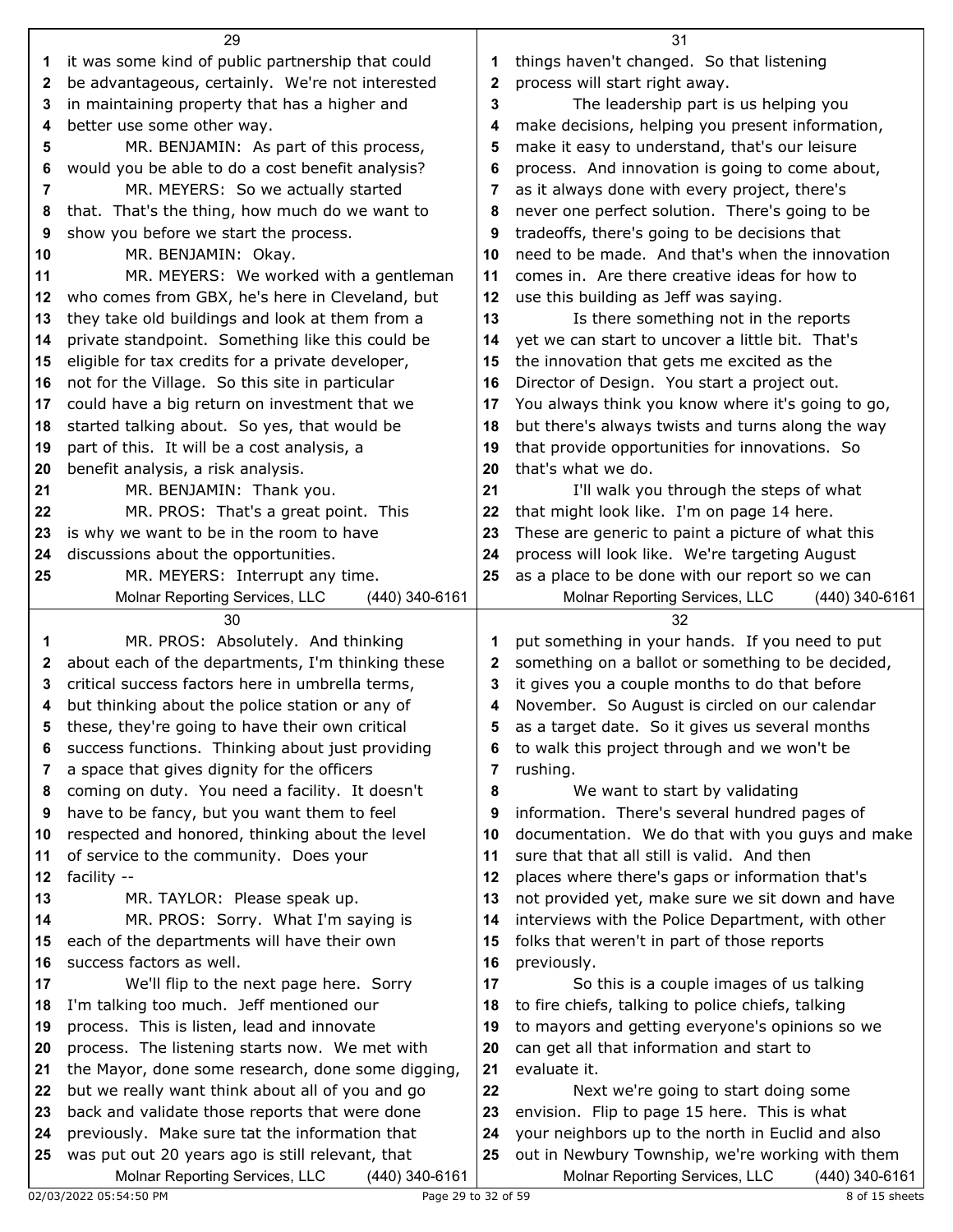|              | 29                                                                                                    |          | 31                                                        |
|--------------|-------------------------------------------------------------------------------------------------------|----------|-----------------------------------------------------------|
| 1            | it was some kind of public partnership that could                                                     | 1        | things haven't changed. So that listening                 |
| $\mathbf{2}$ | be advantageous, certainly. We're not interested                                                      | 2        | process will start right away.                            |
| 3            | in maintaining property that has a higher and                                                         | 3        | The leadership part is us helping you                     |
| 4            | better use some other way.                                                                            | 4        | make decisions, helping you present information,          |
| 5            | MR. BENJAMIN: As part of this process,                                                                | 5        | make it easy to understand, that's our leisure            |
| 6            | would you be able to do a cost benefit analysis?                                                      | 6        | process. And innovation is going to come about,           |
| 7            | MR. MEYERS: So we actually started                                                                    | 7        | as it always done with every project, there's             |
| 8            | that. That's the thing, how much do we want to                                                        | 8        | never one perfect solution. There's going to be           |
| 9            | show you before we start the process.                                                                 | 9        | tradeoffs, there's going to be decisions that             |
| 10           | MR. BENJAMIN: Okay.                                                                                   | 10       | need to be made. And that's when the innovation           |
| 11           | MR. MEYERS: We worked with a gentleman                                                                | 11       | comes in. Are there creative ideas for how to             |
| 12           | who comes from GBX, he's here in Cleveland, but                                                       | 12       | use this building as Jeff was saying.                     |
| 13           | they take old buildings and look at them from a                                                       | 13       | Is there something not in the reports                     |
| 14           | private standpoint. Something like this could be                                                      | 14       | yet we can start to uncover a little bit. That's          |
| 15           | eligible for tax credits for a private developer,                                                     | 15       | the innovation that gets me excited as the                |
| 16           | not for the Village. So this site in particular                                                       | 16       | Director of Design. You start a project out.              |
| 17           | could have a big return on investment that we                                                         | 17       | You always think you know where it's going to go,         |
| 18           | started talking about. So yes, that would be                                                          | 18       | but there's always twists and turns along the way         |
| 19           | part of this. It will be a cost analysis, a                                                           | 19       | that provide opportunities for innovations. So            |
| 20           | benefit analysis, a risk analysis.                                                                    | 20       | that's what we do.                                        |
| 21           | MR. BENJAMIN: Thank you.                                                                              | 21       | I'll walk you through the steps of what                   |
| 22           | MR. PROS: That's a great point. This                                                                  | 22       | that might look like. I'm on page 14 here.                |
| 23           | is why we want to be in the room to have                                                              | 23       | These are generic to paint a picture of what this         |
| 24           | discussions about the opportunities.                                                                  | 24       | process will look like. We're targeting August            |
| 25           | MR. MEYERS: Interrupt any time.                                                                       | 25       | as a place to be done with our report so we can           |
|              | Molnar Reporting Services, LLC<br>(440) 340-6161                                                      |          | Molnar Reporting Services, LLC<br>(440) 340-6161          |
|              |                                                                                                       |          |                                                           |
|              | 30                                                                                                    |          | 32                                                        |
| 1            | MR. PROS: Absolutely. And thinking                                                                    | 1        | put something in your hands. If you need to put           |
| 2            | about each of the departments, I'm thinking these                                                     | 2        | something on a ballot or something to be decided,         |
| 3            | critical success factors here in umbrella terms,                                                      | 3        | it gives you a couple months to do that before            |
| 4            | but thinking about the police station or any of                                                       | 4        | November. So August is circled on our calendar            |
| 5            | these, they're going to have their own critical                                                       |          | as a target date. So it gives us several months           |
| 6            | success functions. Thinking about just providing                                                      | 6        | to walk this project through and we won't be              |
| 7            | a space that gives dignity for the officers                                                           | 7        | rushing.                                                  |
| 8            | coming on duty. You need a facility. It doesn't                                                       | 8        | We want to start by validating                            |
| 9            | have to be fancy, but you want them to feel                                                           | 9        | information. There's several hundred pages of             |
| 10           | respected and honored, thinking about the level                                                       | 10       | documentation. We do that with you guys and make          |
| 11           | of service to the community. Does your                                                                | 11       | sure that that all still is valid. And then               |
| 12           | facility --                                                                                           | 12       | places where there's gaps or information that's           |
| 13           | MR. TAYLOR: Please speak up.                                                                          | 13       | not provided yet, make sure we sit down and have          |
| 14           | MR. PROS: Sorry. What I'm saying is                                                                   | 14       | interviews with the Police Department, with other         |
| 15           | each of the departments will have their own                                                           | 15       | folks that weren't in part of those reports               |
| 16           | success factors as well.                                                                              | 16       | previously.                                               |
| 17           | We'll flip to the next page here. Sorry                                                               | 17       | So this is a couple images of us talking                  |
| 18           | I'm talking too much. Jeff mentioned our                                                              | 18       | to fire chiefs, talking to police chiefs, talking         |
| 19           | process. This is listen, lead and innovate                                                            | 19       | to mayors and getting everyone's opinions so we           |
| 20<br>21     | process. The listening starts now. We met with                                                        | 20<br>21 | can get all that information and start to<br>evaluate it. |
| 22           | the Mayor, done some research, done some digging,<br>but we really want think about all of you and go | 22       | Next we're going to start doing some                      |
| 23           | back and validate those reports that were done                                                        | 23       | envision. Flip to page 15 here. This is what              |
| 24           | previously. Make sure tat the information that                                                        | 24       | your neighbors up to the north in Euclid and also         |
| 25           | was put out 20 years ago is still relevant, that                                                      | 25       | out in Newbury Township, we're working with them          |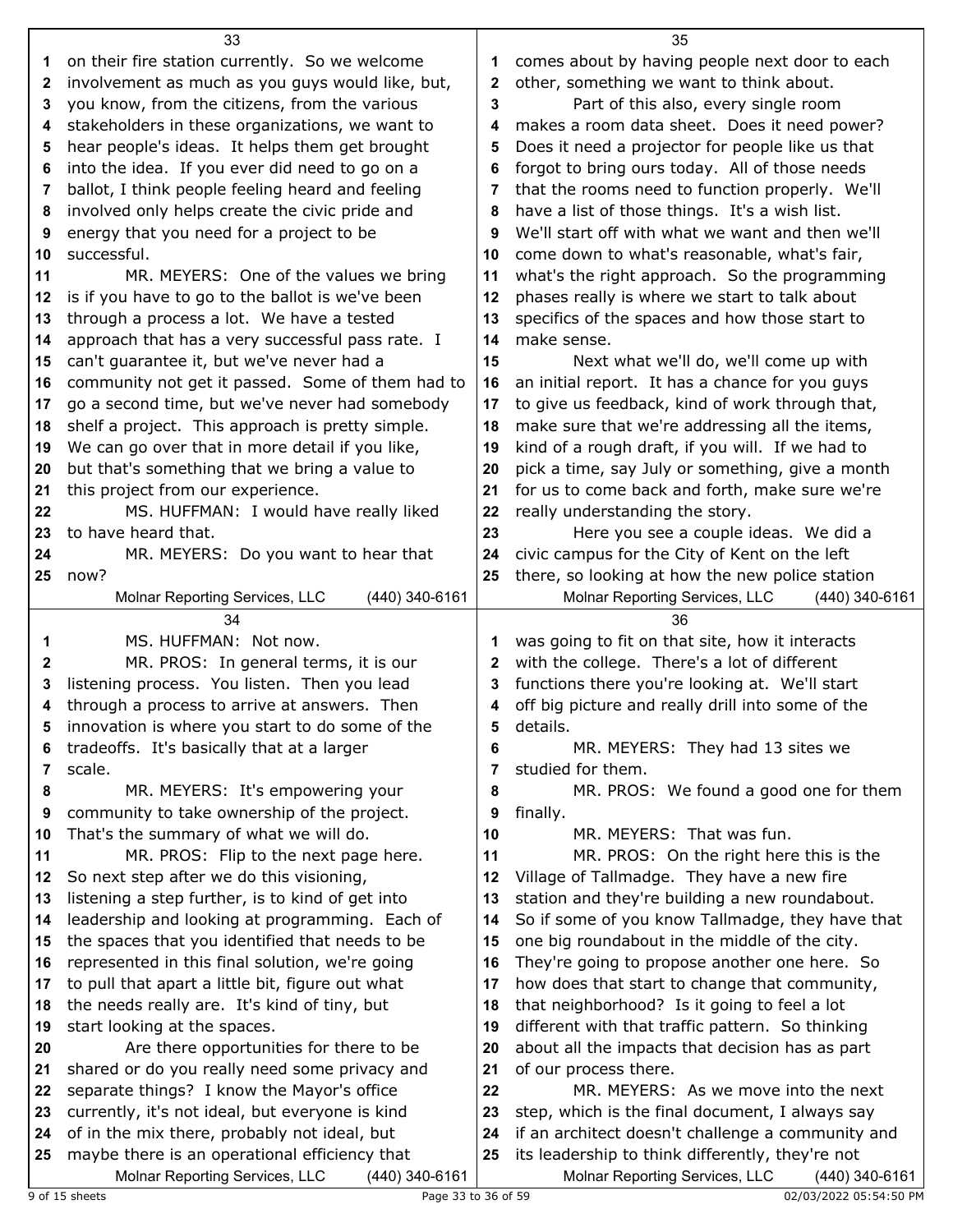|              | 33                                                                                                |    | 35                                                                                                   |
|--------------|---------------------------------------------------------------------------------------------------|----|------------------------------------------------------------------------------------------------------|
| 1            | on their fire station currently. So we welcome                                                    | 1  | comes about by having people next door to each                                                       |
| $\mathbf{2}$ | involvement as much as you guys would like, but,                                                  | 2  | other, something we want to think about.                                                             |
| 3            | you know, from the citizens, from the various                                                     | 3  | Part of this also, every single room                                                                 |
| 4            | stakeholders in these organizations, we want to                                                   | 4  | makes a room data sheet. Does it need power?                                                         |
| 5            | hear people's ideas. It helps them get brought                                                    | 5  | Does it need a projector for people like us that                                                     |
| 6            | into the idea. If you ever did need to go on a                                                    | 6  | forgot to bring ours today. All of those needs                                                       |
| 7            | ballot, I think people feeling heard and feeling                                                  | 7  | that the rooms need to function properly. We'll                                                      |
| 8            | involved only helps create the civic pride and                                                    | 8  | have a list of those things. It's a wish list.                                                       |
| 9            | energy that you need for a project to be                                                          | 9  | We'll start off with what we want and then we'll                                                     |
| 10           | successful.                                                                                       | 10 | come down to what's reasonable, what's fair,                                                         |
| 11           | MR. MEYERS: One of the values we bring                                                            | 11 | what's the right approach. So the programming                                                        |
| 12           | is if you have to go to the ballot is we've been                                                  | 12 | phases really is where we start to talk about                                                        |
| 13           | through a process a lot. We have a tested                                                         | 13 | specifics of the spaces and how those start to                                                       |
| 14           | approach that has a very successful pass rate. I                                                  | 14 | make sense.                                                                                          |
| 15           | can't guarantee it, but we've never had a                                                         | 15 | Next what we'll do, we'll come up with                                                               |
| 16           | community not get it passed. Some of them had to                                                  | 16 | an initial report. It has a chance for you guys                                                      |
| 17           | go a second time, but we've never had somebody                                                    | 17 | to give us feedback, kind of work through that,                                                      |
| 18           | shelf a project. This approach is pretty simple.                                                  | 18 | make sure that we're addressing all the items,                                                       |
| 19           | We can go over that in more detail if you like,                                                   | 19 | kind of a rough draft, if you will. If we had to                                                     |
| 20           | but that's something that we bring a value to                                                     | 20 | pick a time, say July or something, give a month                                                     |
| 21           | this project from our experience.                                                                 | 21 | for us to come back and forth, make sure we're                                                       |
| 22           | MS. HUFFMAN: I would have really liked                                                            | 22 | really understanding the story.                                                                      |
| 23           | to have heard that.                                                                               | 23 | Here you see a couple ideas. We did a                                                                |
| 24           | MR. MEYERS: Do you want to hear that                                                              | 24 | civic campus for the City of Kent on the left                                                        |
| 25           | now?                                                                                              | 25 | there, so looking at how the new police station                                                      |
|              | Molnar Reporting Services, LLC<br>(440) 340-6161                                                  |    | Molnar Reporting Services, LLC<br>(440) 340-6161                                                     |
|              |                                                                                                   |    |                                                                                                      |
|              |                                                                                                   |    |                                                                                                      |
|              | 34                                                                                                |    | 36                                                                                                   |
| 1            | MS. HUFFMAN: Not now.                                                                             | 1  | was going to fit on that site, how it interacts                                                      |
| $\mathbf{2}$ | MR. PROS: In general terms, it is our                                                             | 2  | with the college. There's a lot of different                                                         |
| 3            | listening process. You listen. Then you lead                                                      | 3  | functions there you're looking at. We'll start                                                       |
| 4            | through a process to arrive at answers. Then                                                      | 4  | off big picture and really drill into some of the                                                    |
| 5            | innovation is where you start to do some of the                                                   | 5  | details.                                                                                             |
| 6            | tradeoffs. It's basically that at a larger                                                        | 6  | MR. MEYERS: They had 13 sites we                                                                     |
| 7            | scale.                                                                                            | 7  | studied for them.                                                                                    |
| 8            | MR. MEYERS: It's empowering your                                                                  | 8  | MR. PROS: We found a good one for them                                                               |
| 9            | community to take ownership of the project.                                                       | 9  | finally.                                                                                             |
| 10           | That's the summary of what we will do.                                                            | 10 | MR. MEYERS: That was fun.                                                                            |
| 11           | MR. PROS: Flip to the next page here.                                                             | 11 | MR. PROS: On the right here this is the                                                              |
| 12           | So next step after we do this visioning,                                                          | 12 | Village of Tallmadge. They have a new fire                                                           |
| 13           | listening a step further, is to kind of get into                                                  | 13 | station and they're building a new roundabout.                                                       |
| 14           | leadership and looking at programming. Each of                                                    | 14 | So if some of you know Tallmadge, they have that                                                     |
| 15           | the spaces that you identified that needs to be                                                   | 15 | one big roundabout in the middle of the city.                                                        |
| 16           | represented in this final solution, we're going                                                   | 16 | They're going to propose another one here. So                                                        |
| 17           | to pull that apart a little bit, figure out what                                                  | 17 | how does that start to change that community,                                                        |
| 18           | the needs really are. It's kind of tiny, but                                                      | 18 | that neighborhood? Is it going to feel a lot                                                         |
| 19           | start looking at the spaces.                                                                      | 19 | different with that traffic pattern. So thinking                                                     |
| 20           | Are there opportunities for there to be                                                           | 20 | about all the impacts that decision has as part                                                      |
| 21           | shared or do you really need some privacy and                                                     | 21 | of our process there.                                                                                |
| 22           | separate things? I know the Mayor's office                                                        | 22 | MR. MEYERS: As we move into the next                                                                 |
| 23           | currently, it's not ideal, but everyone is kind                                                   | 23 | step, which is the final document, I always say                                                      |
| 24           | of in the mix there, probably not ideal, but                                                      | 24 | if an architect doesn't challenge a community and                                                    |
| 25           | maybe there is an operational efficiency that<br>Molnar Reporting Services, LLC<br>(440) 340-6161 | 25 | its leadership to think differently, they're not<br>Molnar Reporting Services, LLC<br>(440) 340-6161 |

9 of 15 sheets 2019/2022 05:54:50 PM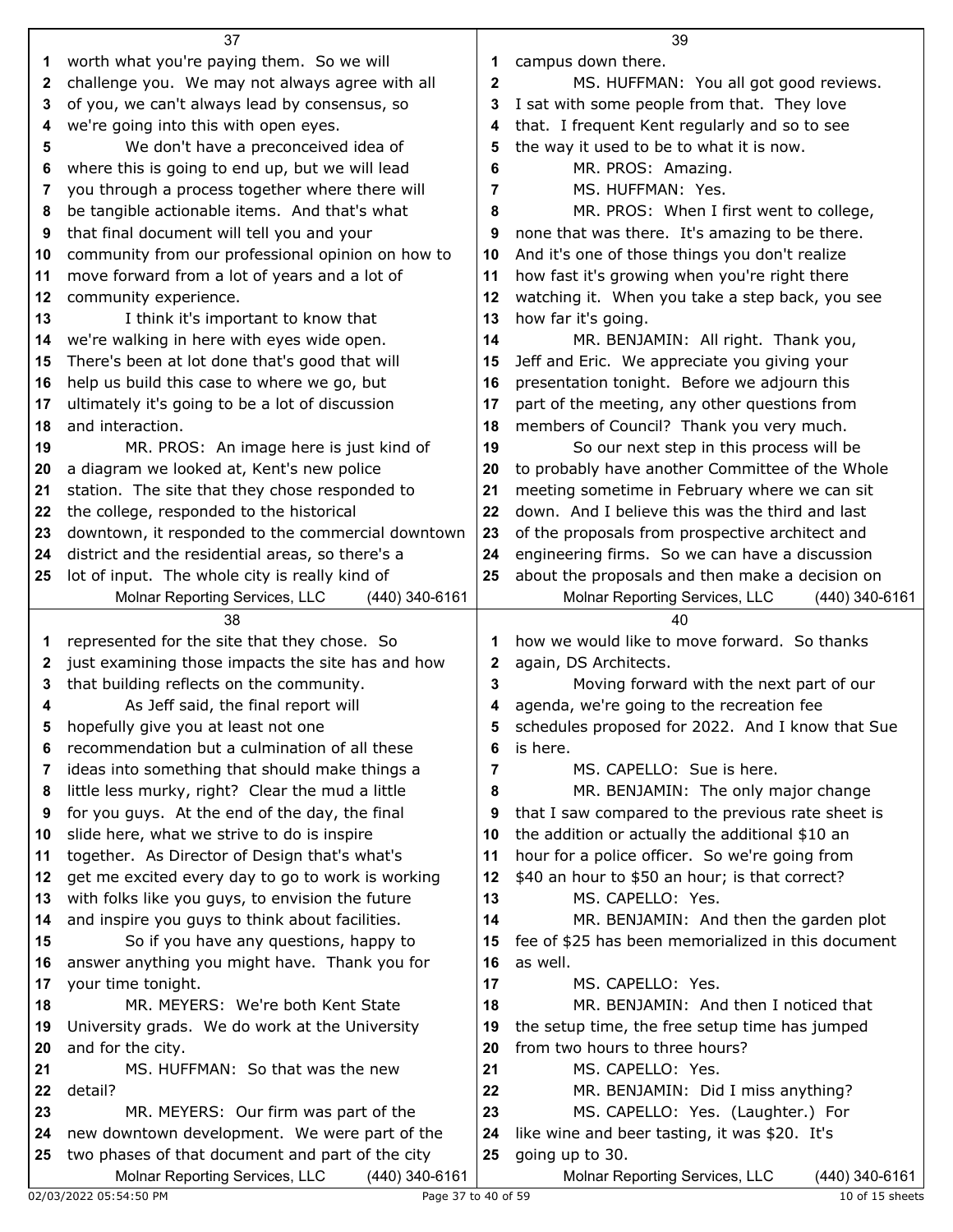|          | 37                                                    |             | 39                                                                               |  |
|----------|-------------------------------------------------------|-------------|----------------------------------------------------------------------------------|--|
| 1.       | worth what you're paying them. So we will             | 1           | campus down there.                                                               |  |
| 2        | challenge you. We may not always agree with all       | $\mathbf 2$ | MS. HUFFMAN: You all got good reviews.                                           |  |
| 3        | of you, we can't always lead by consensus, so         | 3           | I sat with some people from that. They love                                      |  |
| 4        | we're going into this with open eyes.                 | 4           | that. I frequent Kent regularly and so to see                                    |  |
| 5        | We don't have a preconceived idea of                  | 5           | the way it used to be to what it is now.                                         |  |
| 6        | where this is going to end up, but we will lead       | 6           | MR. PROS: Amazing.                                                               |  |
| 7        | you through a process together where there will       | 7           | MS. HUFFMAN: Yes.                                                                |  |
| 8        | be tangible actionable items. And that's what         | 8           | MR. PROS: When I first went to college,                                          |  |
| 9        | that final document will tell you and your            | 9           | none that was there. It's amazing to be there.                                   |  |
| 10       | community from our professional opinion on how to     | 10          | And it's one of those things you don't realize                                   |  |
| 11       | move forward from a lot of years and a lot of         | 11          | how fast it's growing when you're right there                                    |  |
| 12       | community experience.                                 | 12          | watching it. When you take a step back, you see                                  |  |
| 13       | I think it's important to know that                   | 13          | how far it's going.                                                              |  |
| 14       | we're walking in here with eyes wide open.            | 14          | MR. BENJAMIN: All right. Thank you,                                              |  |
| 15       | There's been at lot done that's good that will        | 15          | Jeff and Eric. We appreciate you giving your                                     |  |
| 16       | help us build this case to where we go, but           | 16          | presentation tonight. Before we adjourn this                                     |  |
| 17       | ultimately it's going to be a lot of discussion       | 17          | part of the meeting, any other questions from                                    |  |
| 18       | and interaction.                                      | 18          | members of Council? Thank you very much.                                         |  |
| 19       | MR. PROS: An image here is just kind of               | 19          | So our next step in this process will be                                         |  |
| 20       | a diagram we looked at, Kent's new police             | 20          | to probably have another Committee of the Whole                                  |  |
| 21       | station. The site that they chose responded to        | 21          | meeting sometime in February where we can sit                                    |  |
| 22       | the college, responded to the historical              | 22          | down. And I believe this was the third and last                                  |  |
| 23       | downtown, it responded to the commercial downtown     | 23          | of the proposals from prospective architect and                                  |  |
| 24       | district and the residential areas, so there's a      | 24          | engineering firms. So we can have a discussion                                   |  |
| 25       | lot of input. The whole city is really kind of        | 25          | about the proposals and then make a decision on                                  |  |
|          | Molnar Reporting Services, LLC<br>(440) 340-6161      |             | Molnar Reporting Services, LLC<br>(440) 340-6161                                 |  |
|          |                                                       |             |                                                                                  |  |
|          | 38                                                    |             | 40                                                                               |  |
| 1        | represented for the site that they chose. So          | 1           | how we would like to move forward. So thanks                                     |  |
| 2        | just examining those impacts the site has and how     | 2           | again, DS Architects.                                                            |  |
| 3        | that building reflects on the community.              | 3           | Moving forward with the next part of our                                         |  |
| 4        | As Jeff said, the final report will                   | 4           | agenda, we're going to the recreation fee                                        |  |
|          | hopefully give you at least not one                   | 5           | schedules proposed for 2022. And I know that Sue                                 |  |
| 6        | recommendation but a culmination of all these         | 6           | is here.                                                                         |  |
| 7        | ideas into something that should make things a        | 7           | MS. CAPELLO: Sue is here.                                                        |  |
| 8        | little less murky, right? Clear the mud a little      | 8           | MR. BENJAMIN: The only major change                                              |  |
| 9        | for you guys. At the end of the day, the final        | 9           | that I saw compared to the previous rate sheet is                                |  |
| 10       | slide here, what we strive to do is inspire           | 10          | the addition or actually the additional \$10 an                                  |  |
| 11       | together. As Director of Design that's what's         | 11          | hour for a police officer. So we're going from                                   |  |
| 12       | get me excited every day to go to work is working     | 12          | \$40 an hour to \$50 an hour; is that correct?                                   |  |
| 13       | with folks like you guys, to envision the future      | 13          | MS. CAPELLO: Yes.                                                                |  |
| 14       | and inspire you guys to think about facilities.       | 14          | MR. BENJAMIN: And then the garden plot                                           |  |
| 15       | So if you have any questions, happy to                | 15          | fee of \$25 has been memorialized in this document                               |  |
| 16       | answer anything you might have. Thank you for         | 16          | as well.                                                                         |  |
| 17<br>18 | your time tonight.                                    | 17<br>18    | MS. CAPELLO: Yes.                                                                |  |
|          | MR. MEYERS: We're both Kent State                     | 19          | MR. BENJAMIN: And then I noticed that                                            |  |
| 19       | University grads. We do work at the University        | 20          | the setup time, the free setup time has jumped<br>from two hours to three hours? |  |
| 20<br>21 | and for the city.<br>MS. HUFFMAN: So that was the new | 21          | MS. CAPELLO: Yes.                                                                |  |
| 22       | detail?                                               | 22          | MR. BENJAMIN: Did I miss anything?                                               |  |
| 23       | MR. MEYERS: Our firm was part of the                  | 23          | MS. CAPELLO: Yes. (Laughter.) For                                                |  |
| 24       | new downtown development. We were part of the         | 24          | like wine and beer tasting, it was \$20. It's                                    |  |
| 25       | two phases of that document and part of the city      | 25          | going up to 30.                                                                  |  |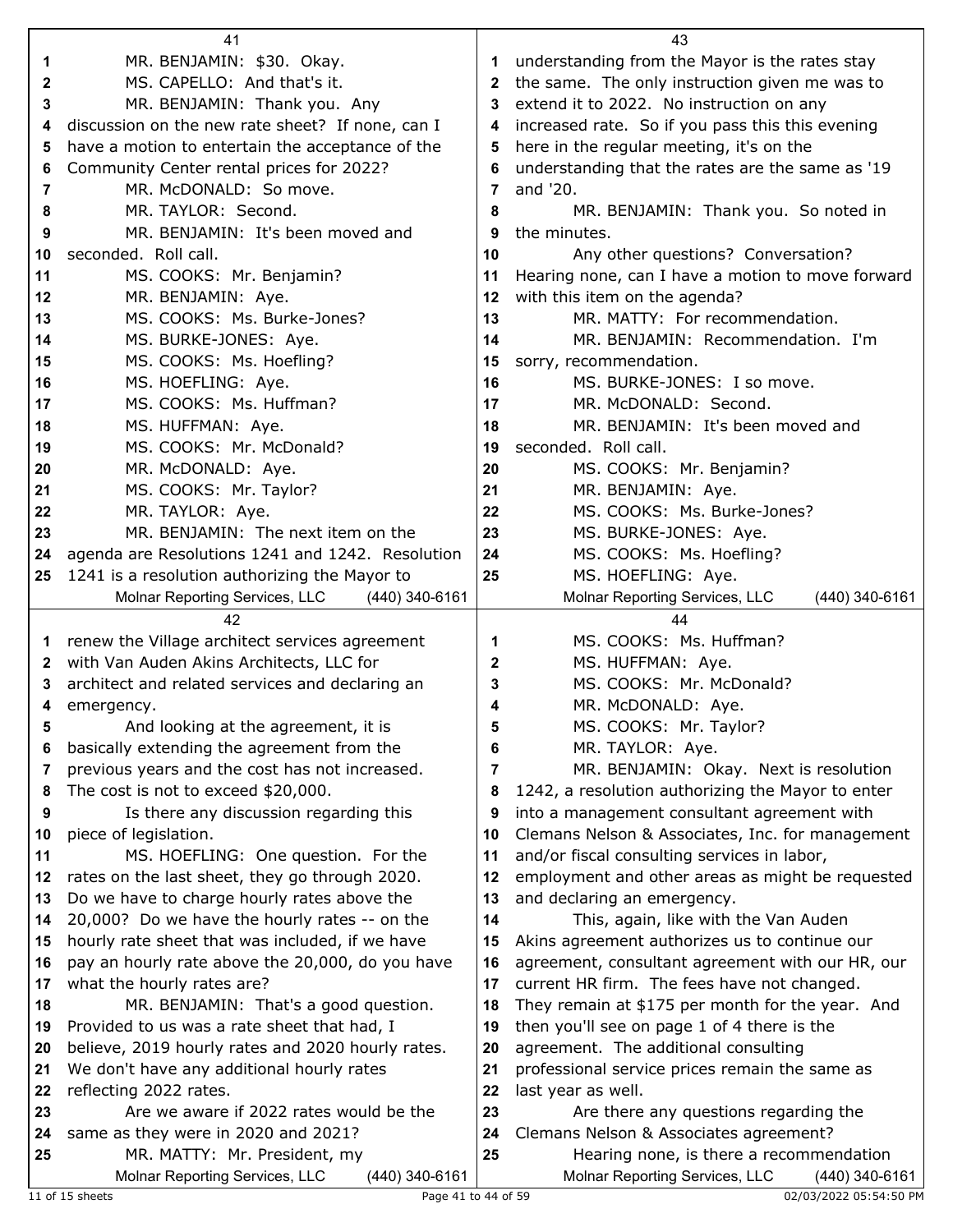|              | 41                                                                  |          | 43                                                                                |
|--------------|---------------------------------------------------------------------|----------|-----------------------------------------------------------------------------------|
| 1            | MR. BENJAMIN: \$30. Okay.                                           | 1.       | understanding from the Mayor is the rates stay                                    |
| 2            | MS. CAPELLO: And that's it.                                         | 2        | the same. The only instruction given me was to                                    |
| 3            | MR. BENJAMIN: Thank you. Any                                        | 3        | extend it to 2022. No instruction on any                                          |
| 4            | discussion on the new rate sheet? If none, can I                    | 4        | increased rate. So if you pass this this evening                                  |
| 5            | have a motion to entertain the acceptance of the                    | 5        | here in the regular meeting, it's on the                                          |
| 6            | Community Center rental prices for 2022?                            | 6        | understanding that the rates are the same as '19                                  |
| 7            | MR. McDONALD: So move.                                              | 7        | and '20.                                                                          |
| 8            | MR. TAYLOR: Second.                                                 | 8        | MR. BENJAMIN: Thank you. So noted in                                              |
| 9            | MR. BENJAMIN: It's been moved and                                   | 9        | the minutes.                                                                      |
| 10           | seconded. Roll call.                                                | 10       | Any other questions? Conversation?                                                |
| 11           | MS. COOKS: Mr. Benjamin?                                            | 11       | Hearing none, can I have a motion to move forward                                 |
| 12           | MR. BENJAMIN: Aye.                                                  | 12       | with this item on the agenda?                                                     |
| 13           | MS. COOKS: Ms. Burke-Jones?                                         | 13       | MR. MATTY: For recommendation.                                                    |
| 14           | MS. BURKE-JONES: Aye.                                               | 14       | MR. BENJAMIN: Recommendation. I'm                                                 |
| 15           | MS. COOKS: Ms. Hoefling?                                            | 15       | sorry, recommendation.                                                            |
| 16           | MS. HOEFLING: Aye.                                                  | 16       | MS. BURKE-JONES: I so move.                                                       |
| 17           | MS. COOKS: Ms. Huffman?                                             | 17       | MR. McDONALD: Second.                                                             |
| 18           | MS. HUFFMAN: Aye.                                                   | 18       | MR. BENJAMIN: It's been moved and                                                 |
| 19           | MS. COOKS: Mr. McDonald?                                            | 19       | seconded. Roll call.                                                              |
| 20           | MR. McDONALD: Aye.                                                  | 20       | MS. COOKS: Mr. Benjamin?                                                          |
| 21           | MS. COOKS: Mr. Taylor?                                              | 21       | MR. BENJAMIN: Aye.                                                                |
| 22           | MR. TAYLOR: Aye.                                                    | 22       | MS. COOKS: Ms. Burke-Jones?                                                       |
| 23           | MR. BENJAMIN: The next item on the                                  | 23       | MS. BURKE-JONES: Aye.                                                             |
| 24           | agenda are Resolutions 1241 and 1242. Resolution                    | 24       | MS. COOKS: Ms. Hoefling?                                                          |
| 25           | 1241 is a resolution authorizing the Mayor to                       | 25       | MS. HOEFLING: Aye.                                                                |
|              | Molnar Reporting Services, LLC<br>(440) 340-6161                    |          | Molnar Reporting Services, LLC<br>(440) 340-6161                                  |
|              |                                                                     |          |                                                                                   |
|              | 42                                                                  |          | 44                                                                                |
| 1            | renew the Village architect services agreement                      | 1        | MS. COOKS: Ms. Huffman?                                                           |
| $\mathbf{z}$ | with Van Auden Akins Architects, LLC for                            | 2        | MS. HUFFMAN: Aye.                                                                 |
| 3            | architect and related services and declaring an                     | 3        | MS. COOKS: Mr. McDonald?                                                          |
| 4            | emergency.                                                          | 4        | MR. McDONALD: Aye.                                                                |
| 5            | And looking at the agreement, it is                                 | 5        | MS. COOKS: Mr. Taylor?                                                            |
| 6            | basically extending the agreement from the                          | 6        | MR. TAYLOR: Aye.                                                                  |
| 7            | previous years and the cost has not increased.                      | 7        | MR. BENJAMIN: Okay. Next is resolution                                            |
| 8            | The cost is not to exceed \$20,000.                                 | 8        | 1242, a resolution authorizing the Mayor to enter                                 |
| 9            | Is there any discussion regarding this                              | 9        | into a management consultant agreement with                                       |
| 10           | piece of legislation.                                               | 10       | Clemans Nelson & Associates, Inc. for management                                  |
| 11           | MS. HOEFLING: One question. For the                                 | 11       | and/or fiscal consulting services in labor,                                       |
| 12           | rates on the last sheet, they go through 2020.                      | 12       | employment and other areas as might be requested                                  |
| 13           | Do we have to charge hourly rates above the                         | 13       | and declaring an emergency.                                                       |
| 14           | 20,000? Do we have the hourly rates -- on the                       | 14       | This, again, like with the Van Auden                                              |
| 15           | hourly rate sheet that was included, if we have                     | 15       | Akins agreement authorizes us to continue our                                     |
| 16           | pay an hourly rate above the 20,000, do you have                    | 16       | agreement, consultant agreement with our HR, our                                  |
| 17           | what the hourly rates are?                                          | 17       | current HR firm. The fees have not changed.                                       |
| 18           | MR. BENJAMIN: That's a good question.                               | 18       | They remain at \$175 per month for the year. And                                  |
| 19           | Provided to us was a rate sheet that had, I                         | 19       | then you'll see on page 1 of 4 there is the                                       |
| 20           | believe, 2019 hourly rates and 2020 hourly rates.                   | 20       | agreement. The additional consulting                                              |
| 21           | We don't have any additional hourly rates                           | 21       | professional service prices remain the same as                                    |
| 22           | reflecting 2022 rates.                                              | 22       | last year as well.                                                                |
| 23           | Are we aware if 2022 rates would be the                             | 23       | Are there any questions regarding the                                             |
| 24<br>25     | same as they were in 2020 and 2021?<br>MR. MATTY: Mr. President, my | 24<br>25 | Clemans Nelson & Associates agreement?<br>Hearing none, is there a recommendation |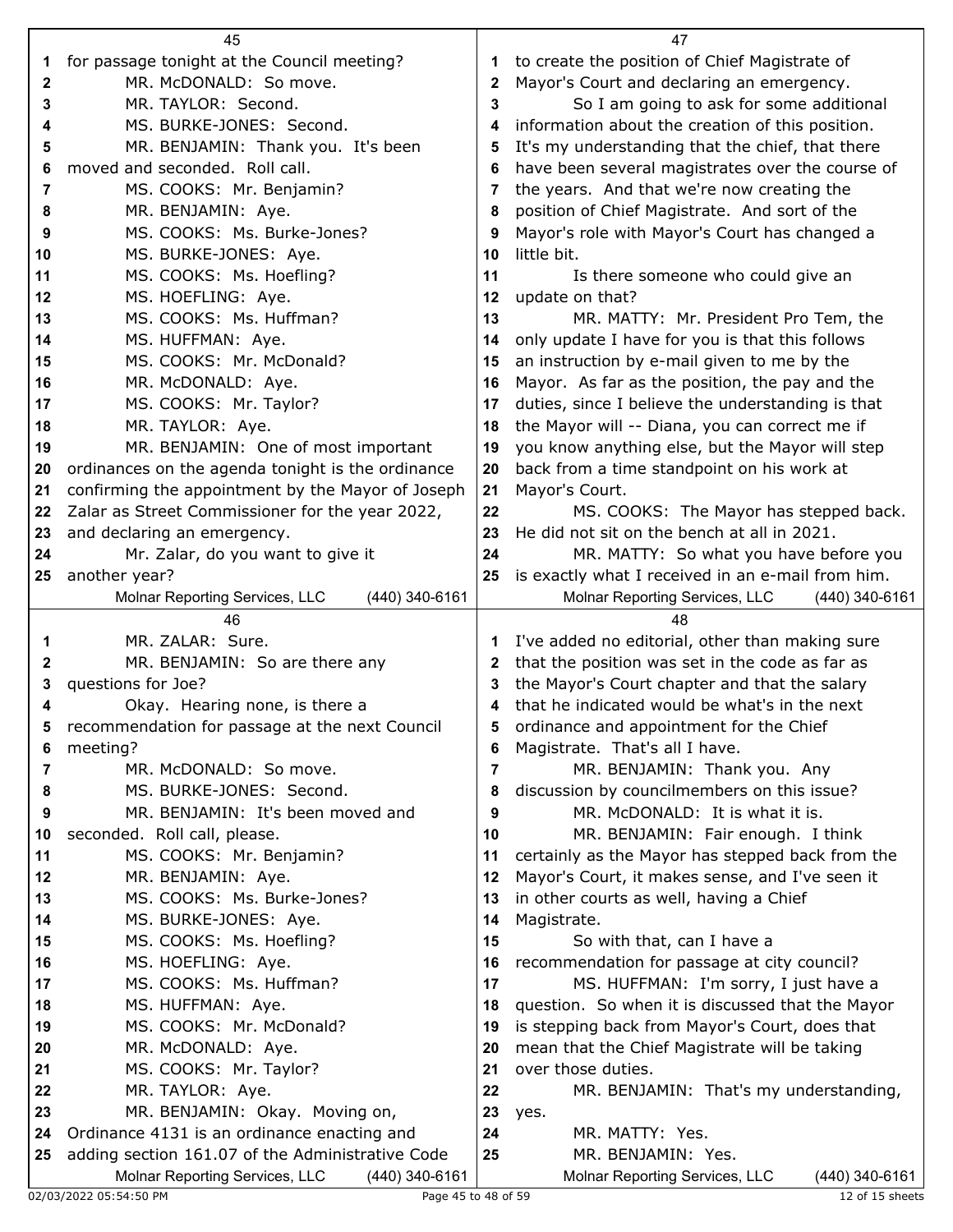|          | 45                                                |          | 47                                                                  |
|----------|---------------------------------------------------|----------|---------------------------------------------------------------------|
| 1        | for passage tonight at the Council meeting?       | 1        | to create the position of Chief Magistrate of                       |
| 2        | MR. McDONALD: So move.                            | 2        | Mayor's Court and declaring an emergency.                           |
| 3        | MR. TAYLOR: Second.                               | 3        | So I am going to ask for some additional                            |
| 4        | MS. BURKE-JONES: Second.                          | 4        | information about the creation of this position.                    |
| 5        | MR. BENJAMIN: Thank you. It's been                | 5        | It's my understanding that the chief, that there                    |
| 6        | moved and seconded. Roll call.                    | 6        | have been several magistrates over the course of                    |
| 7        | MS. COOKS: Mr. Benjamin?                          | 7        | the years. And that we're now creating the                          |
| 8        | MR. BENJAMIN: Aye.                                | 8        | position of Chief Magistrate. And sort of the                       |
| 9        | MS. COOKS: Ms. Burke-Jones?                       | 9        | Mayor's role with Mayor's Court has changed a                       |
| 10       | MS. BURKE-JONES: Aye.                             | 10       | little bit.                                                         |
| 11       | MS. COOKS: Ms. Hoefling?                          | 11       | Is there someone who could give an                                  |
| 12       | MS. HOEFLING: Aye.                                | 12       | update on that?                                                     |
| 13       | MS. COOKS: Ms. Huffman?                           | 13       | MR. MATTY: Mr. President Pro Tem, the                               |
| 14       | MS. HUFFMAN: Aye.                                 | 14       | only update I have for you is that this follows                     |
| 15       | MS. COOKS: Mr. McDonald?                          | 15       | an instruction by e-mail given to me by the                         |
| 16       | MR. McDONALD: Aye.                                | 16       | Mayor. As far as the position, the pay and the                      |
| 17       | MS. COOKS: Mr. Taylor?                            | 17       | duties, since I believe the understanding is that                   |
| 18       | MR. TAYLOR: Aye.                                  | 18       | the Mayor will -- Diana, you can correct me if                      |
| 19       | MR. BENJAMIN: One of most important               | 19       | you know anything else, but the Mayor will step                     |
| 20       | ordinances on the agenda tonight is the ordinance | 20       | back from a time standpoint on his work at                          |
| 21       | confirming the appointment by the Mayor of Joseph | 21       | Mayor's Court.                                                      |
| 22       | Zalar as Street Commissioner for the year 2022,   | 22       | MS. COOKS: The Mayor has stepped back.                              |
| 23       | and declaring an emergency.                       | 23       | He did not sit on the bench at all in 2021.                         |
| 24       | Mr. Zalar, do you want to give it                 | 24       | MR. MATTY: So what you have before you                              |
| 25       | another year?                                     | 25       | is exactly what I received in an e-mail from him.                   |
|          | Molnar Reporting Services, LLC<br>(440) 340-6161  |          | Molnar Reporting Services, LLC<br>(440) 340-6161                    |
|          | 46                                                |          | 48                                                                  |
|          |                                                   |          |                                                                     |
| 1        | MR. ZALAR: Sure.                                  | 1        | I've added no editorial, other than making sure                     |
| 2        | MR. BENJAMIN: So are there any                    | 2        | that the position was set in the code as far as                     |
| 3        | questions for Joe?                                | 3        | the Mayor's Court chapter and that the salary                       |
| 4        | Okay. Hearing none, is there a                    | 4        | that he indicated would be what's in the next                       |
|          | recommendation for passage at the next Council    |          | ordinance and appointment for the Chief                             |
| 6        | meeting?                                          | 6        | Magistrate. That's all I have.                                      |
| 7        | MR. McDONALD: So move.                            | 7        | MR. BENJAMIN: Thank you. Any                                        |
| 8        | MS. BURKE-JONES: Second.                          | 8        | discussion by councilmembers on this issue?                         |
| 9        | MR. BENJAMIN: It's been moved and                 | 9        | MR. McDONALD: It is what it is.                                     |
| 10       | seconded. Roll call, please.                      | 10       | MR. BENJAMIN: Fair enough. I think                                  |
| 11       | MS. COOKS: Mr. Benjamin?                          | 11       | certainly as the Mayor has stepped back from the                    |
| $12 \,$  | MR. BENJAMIN: Aye.                                | 12       | Mayor's Court, it makes sense, and I've seen it                     |
| 13       | MS. COOKS: Ms. Burke-Jones?                       | 13       | in other courts as well, having a Chief                             |
| 14       | MS. BURKE-JONES: Aye.                             | 14       | Magistrate.                                                         |
| 15       | MS. COOKS: Ms. Hoefling?                          | 15       | So with that, can I have a                                          |
| 16       | MS. HOEFLING: Aye.                                | 16       | recommendation for passage at city council?                         |
| 17       | MS. COOKS: Ms. Huffman?                           | 17       | MS. HUFFMAN: I'm sorry, I just have a                               |
| 18       | MS. HUFFMAN: Aye.                                 | 18<br>19 | question. So when it is discussed that the Mayor                    |
| 19<br>20 | MS. COOKS: Mr. McDonald?<br>MR. McDONALD: Aye.    | 20       | is stepping back from Mayor's Court, does that                      |
| 21       | MS. COOKS: Mr. Taylor?                            | 21       | mean that the Chief Magistrate will be taking<br>over those duties. |
| 22       | MR. TAYLOR: Aye.                                  | 22       | MR. BENJAMIN: That's my understanding,                              |
| 23       | MR. BENJAMIN: Okay. Moving on,                    | 23       | yes.                                                                |
| 24       | Ordinance 4131 is an ordinance enacting and       | 24       | MR. MATTY: Yes.                                                     |
| 25       | adding section 161.07 of the Administrative Code  | 25       | MR. BENJAMIN: Yes.                                                  |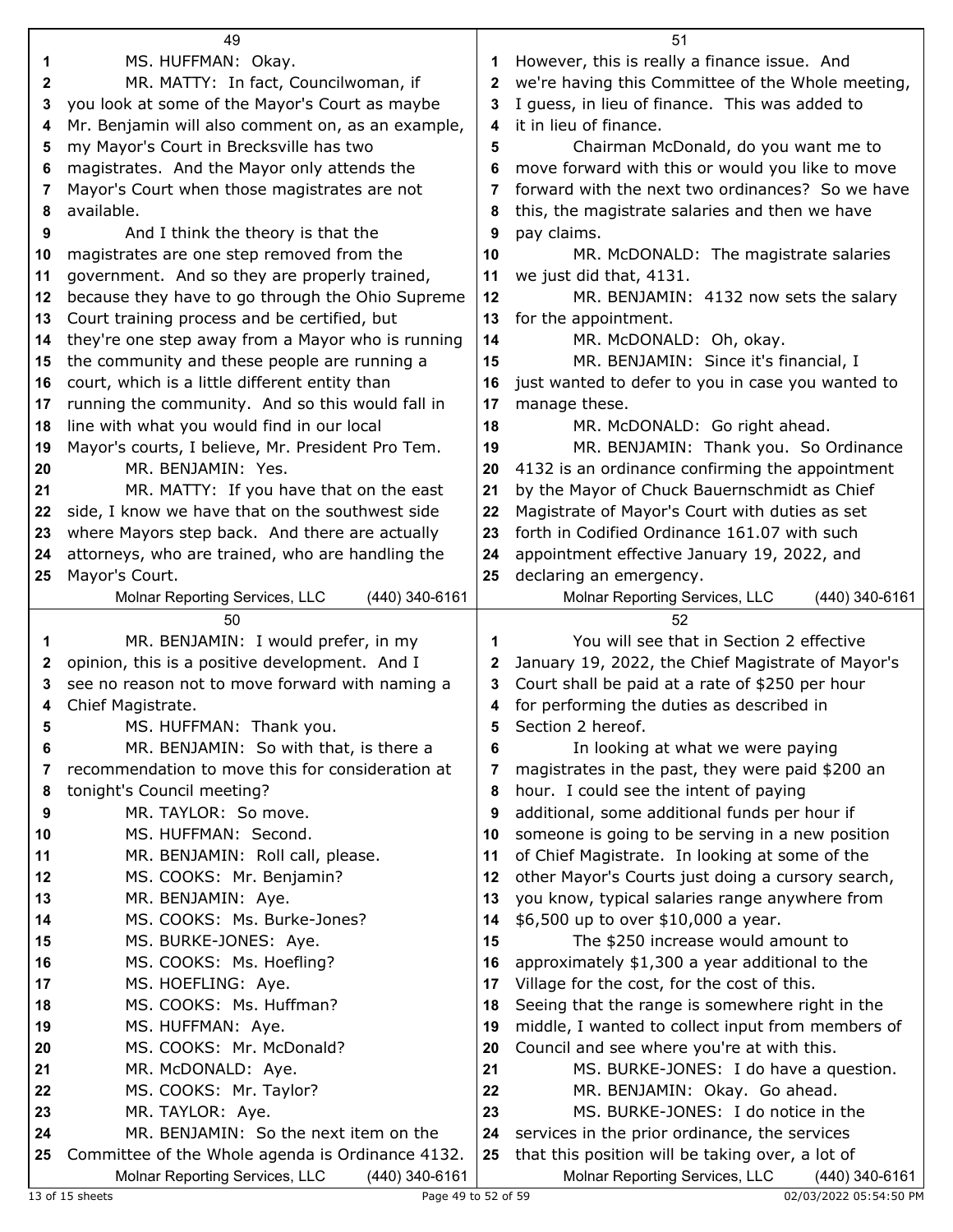|          | 49                                                                                        | 51       |                                                                                                   |  |  |
|----------|-------------------------------------------------------------------------------------------|----------|---------------------------------------------------------------------------------------------------|--|--|
| 1        | MS. HUFFMAN: Okay.                                                                        | 1.       | However, this is really a finance issue. And                                                      |  |  |
| 2        | MR. MATTY: In fact, Councilwoman, if                                                      | 2        | we're having this Committee of the Whole meeting,                                                 |  |  |
| 3        | you look at some of the Mayor's Court as maybe                                            | 3        | I guess, in lieu of finance. This was added to                                                    |  |  |
| 4        | Mr. Benjamin will also comment on, as an example,                                         | 4        | it in lieu of finance.                                                                            |  |  |
| 5        | my Mayor's Court in Brecksville has two                                                   | 5        | Chairman McDonald, do you want me to                                                              |  |  |
| 6        | magistrates. And the Mayor only attends the                                               | 6        | move forward with this or would you like to move                                                  |  |  |
| 7        | Mayor's Court when those magistrates are not                                              | 7        | forward with the next two ordinances? So we have                                                  |  |  |
| 8        | available.                                                                                | 8        | this, the magistrate salaries and then we have                                                    |  |  |
| 9        | And I think the theory is that the                                                        | 9        | pay claims.                                                                                       |  |  |
| 10       | magistrates are one step removed from the                                                 | 10       | MR. McDONALD: The magistrate salaries                                                             |  |  |
| 11       | government. And so they are properly trained,                                             | 11       | we just did that, 4131.                                                                           |  |  |
| 12       | because they have to go through the Ohio Supreme                                          | 12       | MR. BENJAMIN: 4132 now sets the salary                                                            |  |  |
| 13       | Court training process and be certified, but                                              | 13       | for the appointment.                                                                              |  |  |
| 14       | they're one step away from a Mayor who is running                                         | 14       | MR. McDONALD: Oh, okay.                                                                           |  |  |
| 15       | the community and these people are running a                                              | 15       | MR. BENJAMIN: Since it's financial, I                                                             |  |  |
| 16       | court, which is a little different entity than                                            | 16       | just wanted to defer to you in case you wanted to                                                 |  |  |
| 17       | running the community. And so this would fall in                                          | 17       | manage these.                                                                                     |  |  |
| 18       | line with what you would find in our local                                                | 18       | MR. McDONALD: Go right ahead.                                                                     |  |  |
| 19       | Mayor's courts, I believe, Mr. President Pro Tem.                                         | 19       | MR. BENJAMIN: Thank you. So Ordinance                                                             |  |  |
| 20       | MR. BENJAMIN: Yes.                                                                        | 20       | 4132 is an ordinance confirming the appointment                                                   |  |  |
| 21       | MR. MATTY: If you have that on the east                                                   | 21       | by the Mayor of Chuck Bauernschmidt as Chief                                                      |  |  |
| 22       | side, I know we have that on the southwest side                                           | 22       | Magistrate of Mayor's Court with duties as set                                                    |  |  |
| 23       | where Mayors step back. And there are actually                                            | 23       | forth in Codified Ordinance 161.07 with such                                                      |  |  |
| 24       | attorneys, who are trained, who are handling the                                          | 24       | appointment effective January 19, 2022, and                                                       |  |  |
| 25       | Mayor's Court.                                                                            | 25       | declaring an emergency.                                                                           |  |  |
|          | Molnar Reporting Services, LLC<br>(440) 340-6161                                          |          | Molnar Reporting Services, LLC<br>(440) 340-6161                                                  |  |  |
|          |                                                                                           |          |                                                                                                   |  |  |
|          | 50                                                                                        |          | 52                                                                                                |  |  |
| 1        | MR. BENJAMIN: I would prefer, in my                                                       | 1        | You will see that in Section 2 effective                                                          |  |  |
| 2        | opinion, this is a positive development. And I                                            | 2        | January 19, 2022, the Chief Magistrate of Mayor's                                                 |  |  |
| 3        | see no reason not to move forward with naming a                                           | 3        | Court shall be paid at a rate of \$250 per hour                                                   |  |  |
| 4        | Chief Magistrate.                                                                         | 4        | for performing the duties as described in                                                         |  |  |
| 5        | MS. HUFFMAN: Thank you.                                                                   | 5        | Section 2 hereof.                                                                                 |  |  |
| 6        | MR. BENJAMIN: So with that, is there a                                                    | 6        | In looking at what we were paying                                                                 |  |  |
| 7        | recommendation to move this for consideration at                                          | 7        | magistrates in the past, they were paid \$200 an                                                  |  |  |
| 8        | tonight's Council meeting?                                                                | 8        | hour. I could see the intent of paying                                                            |  |  |
| 9        | MR. TAYLOR: So move.                                                                      | 9        | additional, some additional funds per hour if                                                     |  |  |
| 10       | MS. HUFFMAN: Second.                                                                      | 10       | someone is going to be serving in a new position                                                  |  |  |
| 11       | MR. BENJAMIN: Roll call, please.                                                          | 11       | of Chief Magistrate. In looking at some of the                                                    |  |  |
| 12       | MS. COOKS: Mr. Benjamin?                                                                  | 12       | other Mayor's Courts just doing a cursory search,                                                 |  |  |
| 13       | MR. BENJAMIN: Aye.                                                                        | 13       | you know, typical salaries range anywhere from                                                    |  |  |
| 14       | MS. COOKS: Ms. Burke-Jones?                                                               | 14       | \$6,500 up to over \$10,000 a year.                                                               |  |  |
| 15       | MS. BURKE-JONES: Aye.                                                                     | 15       | The \$250 increase would amount to                                                                |  |  |
| 16       | MS. COOKS: Ms. Hoefling?                                                                  | 16       | approximately \$1,300 a year additional to the                                                    |  |  |
| 17       | MS. HOEFLING: Aye.                                                                        | 17       | Village for the cost, for the cost of this.                                                       |  |  |
| 18       | MS. COOKS: Ms. Huffman?                                                                   | 18       | Seeing that the range is somewhere right in the                                                   |  |  |
| 19       | MS. HUFFMAN: Aye.                                                                         | 19       | middle, I wanted to collect input from members of                                                 |  |  |
| 20       | MS. COOKS: Mr. McDonald?                                                                  | 20       | Council and see where you're at with this.                                                        |  |  |
| 21       | MR. McDONALD: Aye.                                                                        | 21       | MS. BURKE-JONES: I do have a question.                                                            |  |  |
| 22       | MS. COOKS: Mr. Taylor?                                                                    | 22       | MR. BENJAMIN: Okay. Go ahead.                                                                     |  |  |
| 23       | MR. TAYLOR: Aye.                                                                          | 23       | MS. BURKE-JONES: I do notice in the                                                               |  |  |
| 24<br>25 | MR. BENJAMIN: So the next item on the<br>Committee of the Whole agenda is Ordinance 4132. | 24<br>25 | services in the prior ordinance, the services<br>that this position will be taking over, a lot of |  |  |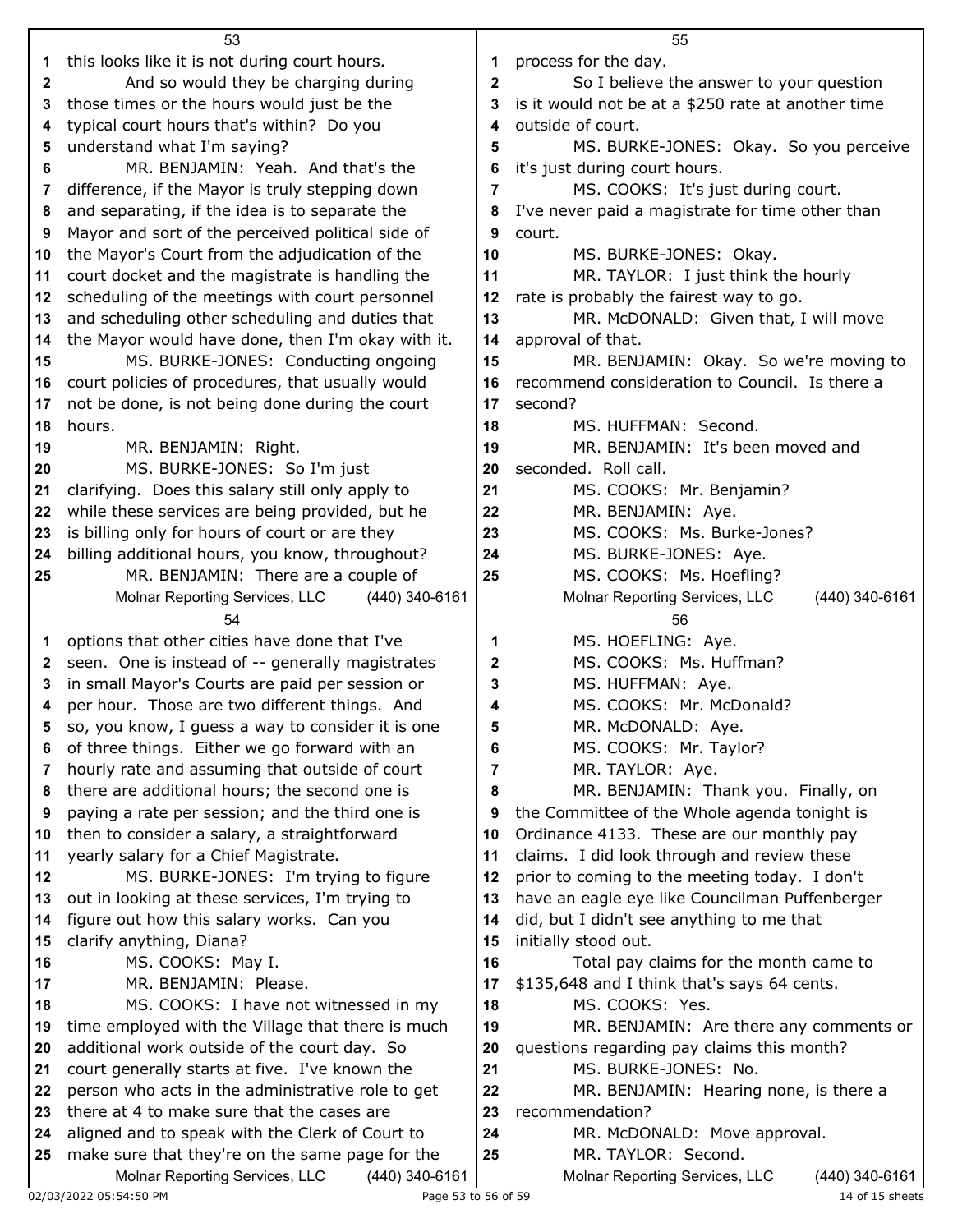|              | 53                                                                                               |        | 55                                                                                   |  |  |
|--------------|--------------------------------------------------------------------------------------------------|--------|--------------------------------------------------------------------------------------|--|--|
| 1            | this looks like it is not during court hours.                                                    | 1      | process for the day.                                                                 |  |  |
| 2            | And so would they be charging during                                                             | 2      | So I believe the answer to your question                                             |  |  |
| 3            | those times or the hours would just be the                                                       | 3      | is it would not be at a \$250 rate at another time                                   |  |  |
| 4            | typical court hours that's within? Do you                                                        | 4      | outside of court.                                                                    |  |  |
| 5            | understand what I'm saying?                                                                      | 5      | MS. BURKE-JONES: Okay. So you perceive                                               |  |  |
| 6            | MR. BENJAMIN: Yeah. And that's the                                                               | 6      | it's just during court hours.                                                        |  |  |
| 7            | difference, if the Mayor is truly stepping down                                                  | 7      | MS. COOKS: It's just during court.                                                   |  |  |
| 8            | and separating, if the idea is to separate the                                                   | 8      | I've never paid a magistrate for time other than                                     |  |  |
| 9            | Mayor and sort of the perceived political side of                                                | 9      | court.                                                                               |  |  |
| 10           | the Mayor's Court from the adjudication of the                                                   | 10     | MS. BURKE-JONES: Okay.                                                               |  |  |
| 11           | court docket and the magistrate is handling the                                                  | 11     | MR. TAYLOR: I just think the hourly                                                  |  |  |
| 12           | scheduling of the meetings with court personnel                                                  | 12     | rate is probably the fairest way to go.                                              |  |  |
| 13           | and scheduling other scheduling and duties that                                                  | 13     | MR. McDONALD: Given that, I will move                                                |  |  |
| 14           | the Mayor would have done, then I'm okay with it.                                                | 14     | approval of that.                                                                    |  |  |
| 15           | MS. BURKE-JONES: Conducting ongoing                                                              | 15     | MR. BENJAMIN: Okay. So we're moving to                                               |  |  |
| 16           | court policies of procedures, that usually would                                                 | 16     | recommend consideration to Council. Is there a                                       |  |  |
| 17           | not be done, is not being done during the court                                                  | 17     | second?                                                                              |  |  |
| 18           | hours.                                                                                           | 18     | MS. HUFFMAN: Second.                                                                 |  |  |
| 19           | MR. BENJAMIN: Right.                                                                             | 19     | MR. BENJAMIN: It's been moved and                                                    |  |  |
| 20           | MS. BURKE-JONES: So I'm just                                                                     | 20     | seconded. Roll call.                                                                 |  |  |
| 21           | clarifying. Does this salary still only apply to                                                 | 21     | MS. COOKS: Mr. Benjamin?                                                             |  |  |
| 22           | while these services are being provided, but he                                                  | 22     | MR. BENJAMIN: Aye.                                                                   |  |  |
| 23           | is billing only for hours of court or are they                                                   | 23     | MS. COOKS: Ms. Burke-Jones?                                                          |  |  |
| 24           | billing additional hours, you know, throughout?                                                  | 24     | MS. BURKE-JONES: Aye.                                                                |  |  |
| 25           | MR. BENJAMIN: There are a couple of                                                              | 25     | MS. COOKS: Ms. Hoefling?                                                             |  |  |
|              | Molnar Reporting Services, LLC<br>(440) 340-6161                                                 |        | Molnar Reporting Services, LLC<br>(440) 340-6161                                     |  |  |
|              | 54                                                                                               |        | 56                                                                                   |  |  |
| 1            | options that other cities have done that I've                                                    | 1      | MS. HOEFLING: Aye.                                                                   |  |  |
| $\mathbf{z}$ | seen. One is instead of -- generally magistrates                                                 | 2      | MS. COOKS: Ms. Huffman?                                                              |  |  |
| 3            | in small Mayor's Courts are paid per session or                                                  | 3      | MS. HUFFMAN: Aye.                                                                    |  |  |
| 4            | per hour. Those are two different things. And                                                    | 4      | MS. COOKS: Mr. McDonald?                                                             |  |  |
|              | so, you know, I guess a way to consider it is one                                                | 5      | MR. McDONALD: Aye.                                                                   |  |  |
| 6            | of three things. Either we go forward with an                                                    | 6      | MS. COOKS: Mr. Taylor?                                                               |  |  |
| 7            | hourly rate and assuming that outside of court                                                   | 7      | MR. TAYLOR: Aye.                                                                     |  |  |
| 8            | there are additional hours; the second one is<br>paying a rate per session; and the third one is | 8<br>9 | MR. BENJAMIN: Thank you. Finally, on<br>the Committee of the Whole agenda tonight is |  |  |
| 9<br>10      | then to consider a salary, a straightforward                                                     | 10     | Ordinance 4133. These are our monthly pay                                            |  |  |
| 11           | yearly salary for a Chief Magistrate.                                                            | 11     | claims. I did look through and review these                                          |  |  |
| $12 \,$      | MS. BURKE-JONES: I'm trying to figure                                                            | 12     | prior to coming to the meeting today. I don't                                        |  |  |
| 13           | out in looking at these services, I'm trying to                                                  | 13     | have an eagle eye like Councilman Puffenberger                                       |  |  |
| 14           | figure out how this salary works. Can you                                                        | 14     | did, but I didn't see anything to me that                                            |  |  |
| 15           | clarify anything, Diana?                                                                         | 15     | initially stood out.                                                                 |  |  |
| 16           | MS. COOKS: May I.                                                                                | 16     | Total pay claims for the month came to                                               |  |  |
| 17           | MR. BENJAMIN: Please.                                                                            | 17     | \$135,648 and I think that's says 64 cents.                                          |  |  |
| 18           | MS. COOKS: I have not witnessed in my                                                            | 18     | MS. COOKS: Yes.                                                                      |  |  |
| 19           | time employed with the Village that there is much                                                | 19     | MR. BENJAMIN: Are there any comments or                                              |  |  |
| 20           | additional work outside of the court day. So                                                     | 20     | questions regarding pay claims this month?                                           |  |  |
| 21           | court generally starts at five. I've known the                                                   | 21     | MS. BURKE-JONES: No.                                                                 |  |  |
| 22           | person who acts in the administrative role to get                                                | 22     | MR. BENJAMIN: Hearing none, is there a                                               |  |  |
| 23           | there at 4 to make sure that the cases are                                                       | 23     | recommendation?                                                                      |  |  |
| 24           | aligned and to speak with the Clerk of Court to                                                  | 24     | MR. McDONALD: Move approval.                                                         |  |  |
| 25           | make sure that they're on the same page for the                                                  | 25     | MR. TAYLOR: Second.                                                                  |  |  |
|              | Molnar Reporting Services, LLC<br>(440) 340-6161                                                 |        | Molnar Reporting Services, LLC<br>(440) 340-6161                                     |  |  |